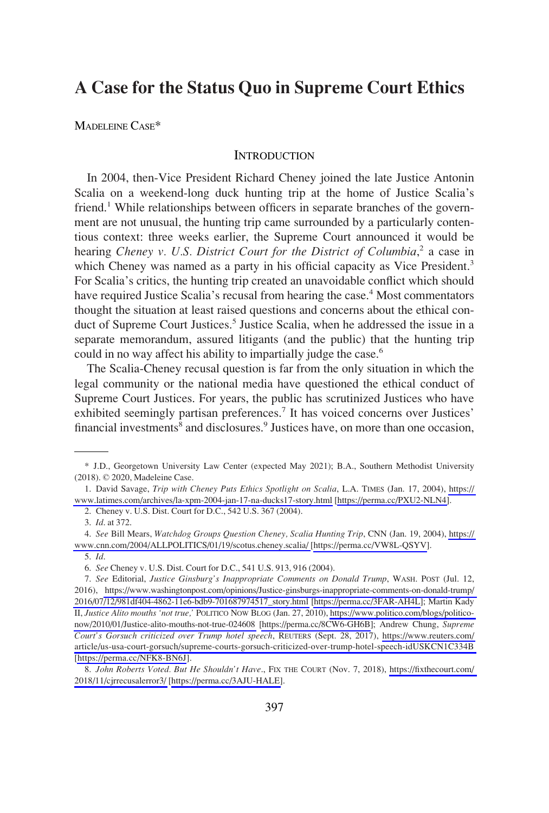# **A Case for the Status Quo in Supreme Court Ethics**

MADELEINE CASE\*

# **INTRODUCTION**

In 2004, then-Vice President Richard Cheney joined the late Justice Antonin Scalia on a weekend-long duck hunting trip at the home of Justice Scalia's friend.<sup>1</sup> While relationships between officers in separate branches of the government are not unusual, the hunting trip came surrounded by a particularly contentious context: three weeks earlier, the Supreme Court announced it would be hearing *Cheney v. U.S. District Court for the District of Columbia*,<sup>2</sup> a case in which Cheney was named as a party in his official capacity as Vice President.<sup>3</sup> For Scalia's critics, the hunting trip created an unavoidable conflict which should have required Justice Scalia's recusal from hearing the case.<sup>4</sup> Most commentators thought the situation at least raised questions and concerns about the ethical conduct of Supreme Court Justices.<sup>5</sup> Justice Scalia, when he addressed the issue in a separate memorandum, assured litigants (and the public) that the hunting trip could in no way affect his ability to impartially judge the case.<sup>6</sup>

The Scalia-Cheney recusal question is far from the only situation in which the legal community or the national media have questioned the ethical conduct of Supreme Court Justices. For years, the public has scrutinized Justices who have exhibited seemingly partisan preferences.<sup>7</sup> It has voiced concerns over Justices' financial investments<sup>8</sup> and disclosures.<sup>9</sup> Justices have, on more than one occasion,

<sup>\*</sup> J.D., Georgetown University Law Center (expected May 2021); B.A., Southern Methodist University (2018). © 2020, Madeleine Case.

<sup>1.</sup> David Savage, *Trip with Cheney Puts Ethics Spotlight on Scalia*, L.A. TIMES (Jan. 17, 2004), https:// [www.latimes.com/archives/la-xpm-2004-jan-17-na-ducks17-story.html](https://www.latimes.com/archives/la-xpm-2004-jan-17-na-ducks17-story.html) [\[https://perma.cc/PXU2-NLN4\]](https://perma.cc/PXU2-NLN4).

<sup>2.</sup> Cheney v. U.S. Dist. Court for D.C., 542 U.S. 367 (2004).

<sup>3.</sup> *Id*. at 372.

*See* Bill Mears, *Watchdog Groups Question Cheney, Scalia Hunting Trip*, CNN (Jan. 19, 2004), [https://](https://www.cnn.com/2004/ALLPOLITICS/01/19/scotus.cheney.scalia/)  4. [www.cnn.com/2004/ALLPOLITICS/01/19/scotus.cheney.scalia/](https://www.cnn.com/2004/ALLPOLITICS/01/19/scotus.cheney.scalia/) [\[https://perma.cc/VW8L-QSYV\]](https://perma.cc/VW8L-QSYV).

<sup>5.</sup> *Id*.

<sup>6.</sup> *See* Cheney v. U.S. Dist. Court for D.C., 541 U.S. 913, 916 (2004).

*See* Editorial, *Justice Ginsburg's Inappropriate Comments on Donald Trump*, WASH. POST (Jul. 12, 7. 2016), [https://www.washingtonpost.com/opinions/Justice-ginsburgs-inappropriate-comments-on-donald-trump/](https://www.washingtonpost.com/opinions/Justice-ginsburgs-inappropriate-comments-on-donald-trump/2016/07/12/981df404-4862-11e6-bdb9-701687974517_story.html)  [2016/07/12/981df404-4862-11e6-bdb9-701687974517\\_story.html](https://www.washingtonpost.com/opinions/Justice-ginsburgs-inappropriate-comments-on-donald-trump/2016/07/12/981df404-4862-11e6-bdb9-701687974517_story.html) [\[https://perma.cc/3FAR-AH4L\]](https://perma.cc/3FAR-AH4L); Martin Kady II, *Justice Alito mouths 'not true,'* POLITICO NOW BLOG (Jan. 27, 2010), [https://www.politico.com/blogs/politico](https://www.politico.com/blogs/politico-now/2010/01/Justice-alito-mouths-not-true-024608)[now/2010/01/Justice-alito-mouths-not-true-024608](https://www.politico.com/blogs/politico-now/2010/01/Justice-alito-mouths-not-true-024608) [\[https://perma.cc/8CW6-GH6B\]](https://perma.cc/8CW6-GH6B); Andrew Chung, *Supreme Court's Gorsuch criticized over Trump hotel speech*, REUTERS (Sept. 28, 2017), [https://www.reuters.com/](https://www.reuters.com/article/us-usa-court-gorsuch/supreme-courts-gorsuch-criticized-over-trump-hotel-speech-idUSKCN1C334B)  [article/us-usa-court-gorsuch/supreme-courts-gorsuch-criticized-over-trump-hotel-speech-idUSKCN1C334B](https://www.reuters.com/article/us-usa-court-gorsuch/supreme-courts-gorsuch-criticized-over-trump-hotel-speech-idUSKCN1C334B)  [\[https://perma.cc/NFK8-BN6J](https://perma.cc/NFK8-BN6J)].

*John Roberts Voted. But He Shouldn't Have*., FIX THE COURT (Nov. 7, 2018), [https://fixthecourt.com/](https://fixthecourt.com/2018/11/cjrrecusalerror3/)  8. [2018/11/cjrrecusalerror3/](https://fixthecourt.com/2018/11/cjrrecusalerror3/) [[https://perma.cc/3AJU-HALE\]](https://perma.cc/3AJU-HALE).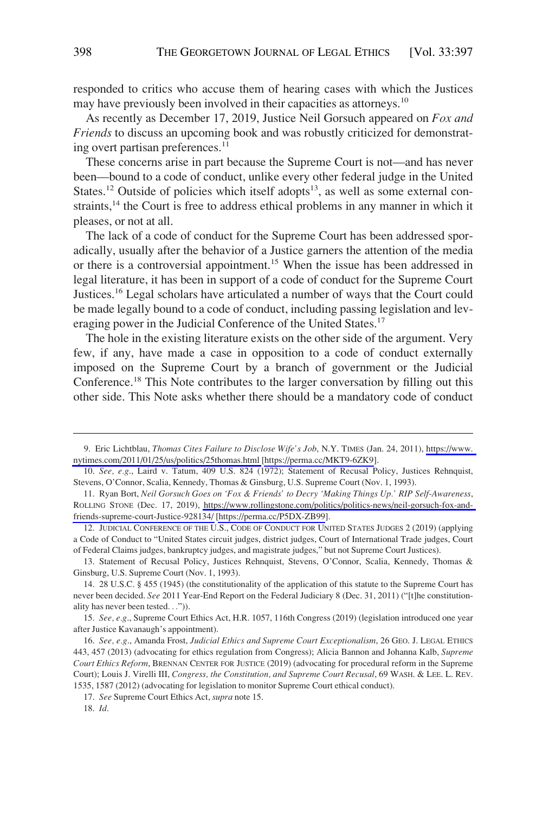responded to critics who accuse them of hearing cases with which the Justices may have previously been involved in their capacities as attorneys.<sup>10</sup>

As recently as December 17, 2019, Justice Neil Gorsuch appeared on *Fox and Friends* to discuss an upcoming book and was robustly criticized for demonstrating overt partisan preferences.<sup>11</sup>

These concerns arise in part because the Supreme Court is not—and has never been—bound to a code of conduct, unlike every other federal judge in the United States.<sup>12</sup> Outside of policies which itself adopts<sup>13</sup>, as well as some external constraints,<sup>14</sup> the Court is free to address ethical problems in any manner in which it pleases, or not at all.

The lack of a code of conduct for the Supreme Court has been addressed sporadically, usually after the behavior of a Justice garners the attention of the media or there is a controversial appointment.<sup>15</sup> When the issue has been addressed in legal literature, it has been in support of a code of conduct for the Supreme Court Justices.16 Legal scholars have articulated a number of ways that the Court could be made legally bound to a code of conduct, including passing legislation and leveraging power in the Judicial Conference of the United States.<sup>17</sup>

The hole in the existing literature exists on the other side of the argument. Very few, if any, have made a case in opposition to a code of conduct externally imposed on the Supreme Court by a branch of government or the Judicial Conference.18 This Note contributes to the larger conversation by filling out this other side. This Note asks whether there should be a mandatory code of conduct

<sup>9.</sup> Eric Lichtblau, *Thomas Cites Failure to Disclose Wife's Job*, N.Y. TIMES (Jan. 24, 2011), [https://www.](https://www.nytimes.com/2011/01/25/us/politics/25thomas.html)  [nytimes.com/2011/01/25/us/politics/25thomas.html](https://www.nytimes.com/2011/01/25/us/politics/25thomas.html) [\[https://perma.cc/MKT9-6ZK9\]](https://perma.cc/MKT9-6ZK9).

<sup>10.</sup> *See, e.g*., Laird v. Tatum, 409 U.S. 824 (1972); Statement of Recusal Policy, Justices Rehnquist, Stevens, O'Connor, Scalia, Kennedy, Thomas & Ginsburg, U.S. Supreme Court (Nov. 1, 1993).

<sup>11.</sup>  Ryan Bort, *Neil Gorsuch Goes on 'Fox & Friends' to Decry 'Making Things Up.' RIP Self-Awareness*, ROLLING STONE (Dec. 17, 2019), [https://www.rollingstone.com/politics/politics-news/neil-gorsuch-fox-and](https://www.rollingstone.com/politics/politics-news/neil-gorsuch-fox-and-friends-supreme-court-Justice-928134/)[friends-supreme-court-Justice-928134/](https://www.rollingstone.com/politics/politics-news/neil-gorsuch-fox-and-friends-supreme-court-Justice-928134/) [\[https://perma.cc/P5DX-ZB99](https://perma.cc/P5DX-ZB99)].

<sup>12.</sup> JUDICIAL CONFERENCE OF THE U.S., CODE OF CONDUCT FOR UNITED STATES JUDGES 2 (2019) (applying a Code of Conduct to "United States circuit judges, district judges, Court of International Trade judges, Court of Federal Claims judges, bankruptcy judges, and magistrate judges," but not Supreme Court Justices).

<sup>13.</sup> Statement of Recusal Policy, Justices Rehnquist, Stevens, O'Connor, Scalia, Kennedy, Thomas & Ginsburg, U.S. Supreme Court (Nov. 1, 1993).

<sup>14. 28</sup> U.S.C. § 455 (1945) (the constitutionality of the application of this statute to the Supreme Court has never been decided. *See* 2011 Year-End Report on the Federal Judiciary 8 (Dec. 31, 2011) ("[t]he constitutionality has never been tested. . .")).

<sup>15.</sup> *See, e.g*., Supreme Court Ethics Act, H.R. 1057, 116th Congress (2019) (legislation introduced one year after Justice Kavanaugh's appointment).

<sup>16.</sup> *See, e.g*., Amanda Frost, *Judicial Ethics and Supreme Court Exceptionalism*, 26 GEO. J. LEGAL ETHICS 443, 457 (2013) (advocating for ethics regulation from Congress); Alicia Bannon and Johanna Kalb, *Supreme Court Ethics Reform*, BRENNAN CENTER FOR JUSTICE (2019) (advocating for procedural reform in the Supreme Court); Louis J. Virelli III, *Congress, the Constitution, and Supreme Court Recusal*, 69 WASH. & LEE. L. REV. 1535, 1587 (2012) (advocating for legislation to monitor Supreme Court ethical conduct).

<sup>17.</sup> *See* Supreme Court Ethics Act, *supra* note 15.

<sup>18.</sup> *Id*.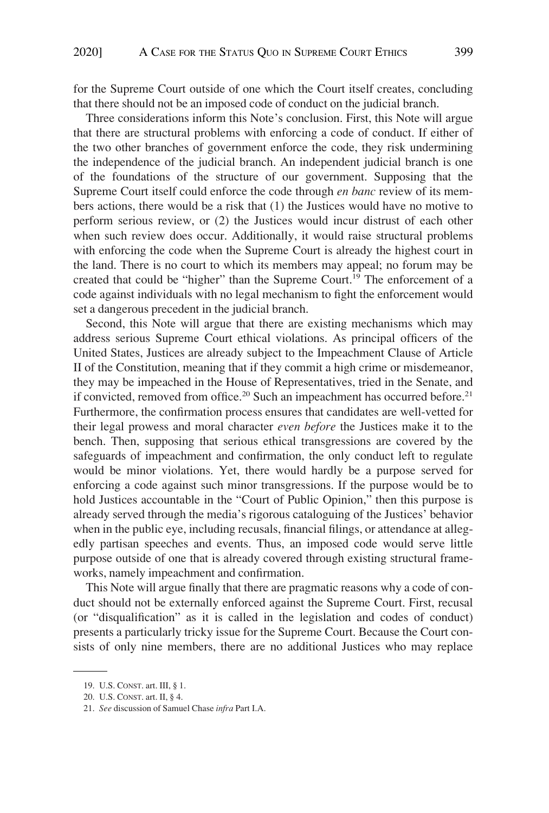for the Supreme Court outside of one which the Court itself creates, concluding that there should not be an imposed code of conduct on the judicial branch.

Three considerations inform this Note's conclusion. First, this Note will argue that there are structural problems with enforcing a code of conduct. If either of the two other branches of government enforce the code, they risk undermining the independence of the judicial branch. An independent judicial branch is one of the foundations of the structure of our government. Supposing that the Supreme Court itself could enforce the code through *en banc* review of its members actions, there would be a risk that (1) the Justices would have no motive to perform serious review, or (2) the Justices would incur distrust of each other when such review does occur. Additionally, it would raise structural problems with enforcing the code when the Supreme Court is already the highest court in the land. There is no court to which its members may appeal; no forum may be created that could be "higher" than the Supreme Court.<sup>19</sup> The enforcement of a code against individuals with no legal mechanism to fight the enforcement would set a dangerous precedent in the judicial branch.

Second, this Note will argue that there are existing mechanisms which may address serious Supreme Court ethical violations. As principal officers of the United States, Justices are already subject to the Impeachment Clause of Article II of the Constitution, meaning that if they commit a high crime or misdemeanor, they may be impeached in the House of Representatives, tried in the Senate, and if convicted, removed from office.<sup>20</sup> Such an impeachment has occurred before.<sup>21</sup> Furthermore, the confirmation process ensures that candidates are well-vetted for their legal prowess and moral character *even before* the Justices make it to the bench. Then, supposing that serious ethical transgressions are covered by the safeguards of impeachment and confirmation, the only conduct left to regulate would be minor violations. Yet, there would hardly be a purpose served for enforcing a code against such minor transgressions. If the purpose would be to hold Justices accountable in the "Court of Public Opinion," then this purpose is already served through the media's rigorous cataloguing of the Justices' behavior when in the public eye, including recusals, financial filings, or attendance at allegedly partisan speeches and events. Thus, an imposed code would serve little purpose outside of one that is already covered through existing structural frameworks, namely impeachment and confirmation.

This Note will argue finally that there are pragmatic reasons why a code of conduct should not be externally enforced against the Supreme Court. First, recusal (or "disqualification" as it is called in the legislation and codes of conduct) presents a particularly tricky issue for the Supreme Court. Because the Court consists of only nine members, there are no additional Justices who may replace

<sup>19.</sup> U.S. CONST. art. III, § 1.

<sup>20.</sup> U.S. CONST. art. II, § 4.

<sup>21.</sup> *See* discussion of Samuel Chase *infra* Part I.A.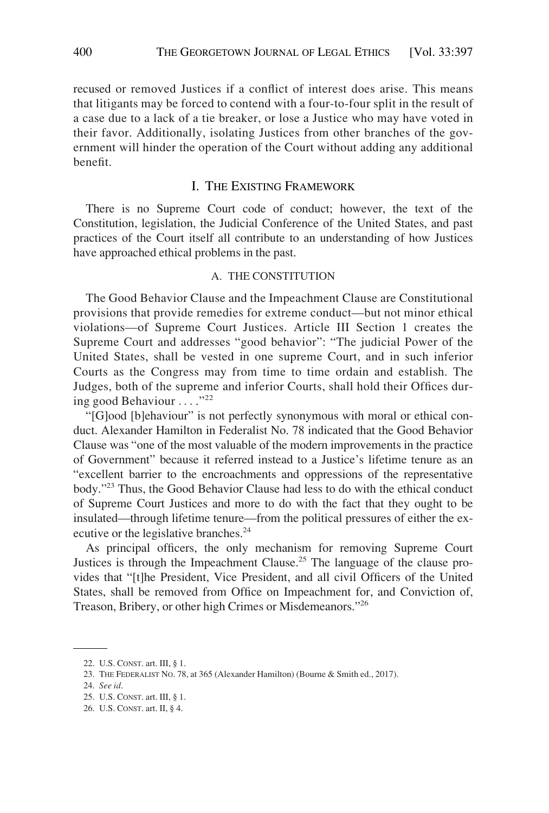recused or removed Justices if a conflict of interest does arise. This means that litigants may be forced to contend with a four-to-four split in the result of a case due to a lack of a tie breaker, or lose a Justice who may have voted in their favor. Additionally, isolating Justices from other branches of the government will hinder the operation of the Court without adding any additional benefit.

# I. THE EXISTING FRAMEWORK

There is no Supreme Court code of conduct; however, the text of the Constitution, legislation, the Judicial Conference of the United States, and past practices of the Court itself all contribute to an understanding of how Justices have approached ethical problems in the past.

#### A. THE CONSTITUTION

The Good Behavior Clause and the Impeachment Clause are Constitutional provisions that provide remedies for extreme conduct—but not minor ethical violations—of Supreme Court Justices. Article III Section 1 creates the Supreme Court and addresses "good behavior": "The judicial Power of the United States, shall be vested in one supreme Court, and in such inferior Courts as the Congress may from time to time ordain and establish. The Judges, both of the supreme and inferior Courts, shall hold their Offices during good Behaviour . . . ."<sup>22</sup>

"[G]ood [b]ehaviour" is not perfectly synonymous with moral or ethical conduct. Alexander Hamilton in Federalist No. 78 indicated that the Good Behavior Clause was "one of the most valuable of the modern improvements in the practice of Government" because it referred instead to a Justice's lifetime tenure as an "excellent barrier to the encroachments and oppressions of the representative body."23 Thus, the Good Behavior Clause had less to do with the ethical conduct of Supreme Court Justices and more to do with the fact that they ought to be insulated—through lifetime tenure—from the political pressures of either the executive or the legislative branches.<sup>24</sup>

As principal officers, the only mechanism for removing Supreme Court Justices is through the Impeachment Clause.25 The language of the clause provides that "[t]he President, Vice President, and all civil Officers of the United States, shall be removed from Office on Impeachment for, and Conviction of, Treason, Bribery, or other high Crimes or Misdemeanors."<sup>26</sup>

<sup>22.</sup> U.S. CONST. art. III, § 1.

<sup>23.</sup> THE FEDERALIST NO. 78, at 365 (Alexander Hamilton) (Bourne & Smith ed., 2017).

<sup>24.</sup> *See id*.

<sup>25.</sup> U.S. CONST. art. III, § 1.

<sup>26.</sup> U.S. CONST. art. II, § 4.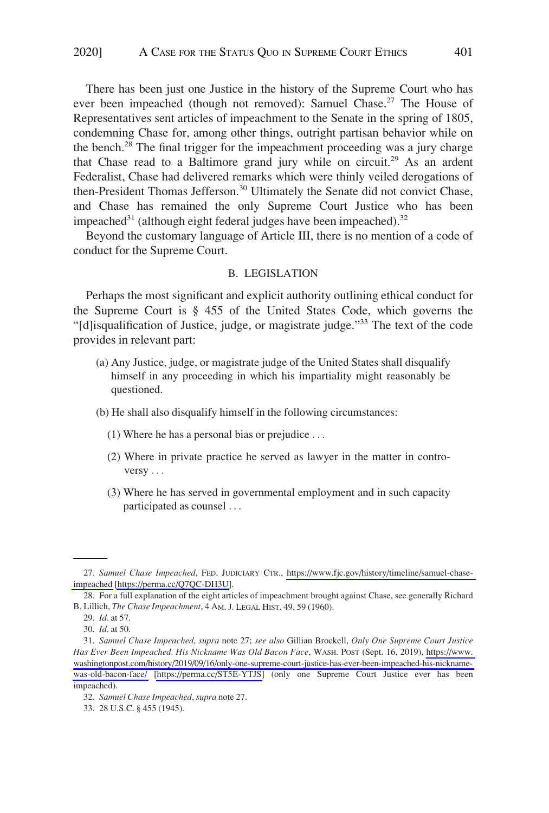There has been just one Justice in the history of the Supreme Court who has ever been impeached (though not removed): Samuel Chase.<sup>27</sup> The House of Representatives sent articles of impeachment to the Senate in the spring of 1805, condemning Chase for, among other things, outright partisan behavior while on the bench.28 The final trigger for the impeachment proceeding was a jury charge that Chase read to a Baltimore grand jury while on circuit.<sup>29</sup> As an ardent Federalist, Chase had delivered remarks which were thinly veiled derogations of then-President Thomas Jefferson.<sup>30</sup> Ultimately the Senate did not convict Chase, and Chase has remained the only Supreme Court Justice who has been impeached<sup>31</sup> (although eight federal judges have been impeached).<sup>32</sup>

Beyond the customary language of Article III, there is no mention of a code of conduct for the Supreme Court.

#### B. LEGISLATION

Perhaps the most significant and explicit authority outlining ethical conduct for the Supreme Court is § 455 of the United States Code, which governs the "[d]isqualification of Justice, judge, or magistrate judge."33 The text of the code provides in relevant part:

- (a) Any Justice, judge, or magistrate judge of the United States shall disqualify himself in any proceeding in which his impartiality might reasonably be questioned.
- (b) He shall also disqualify himself in the following circumstances:
	- (1) Where he has a personal bias or prejudice . . .
	- (2) Where in private practice he served as lawyer in the matter in controversy . . .
	- (3) Where he has served in governmental employment and in such capacity participated as counsel . . .

<sup>27.</sup> Samuel Chase Impeached, FED. JUDICIARY CTR., [https://www.fjc.gov/history/timeline/samuel-chase](https://www.fjc.gov/history/timeline/samuel-chase-impeached)[impeached](https://www.fjc.gov/history/timeline/samuel-chase-impeached) [\[https://perma.cc/Q7QC-DH3U\]](https://perma.cc/Q7QC-DH3U).

<sup>28.</sup> For a full explanation of the eight articles of impeachment brought against Chase, see generally Richard B. Lillich, *The Chase Impeachment*, 4 AM. J. LEGAL HIST. 49, 59 (1960).

<sup>29.</sup> *Id*. at 57.

<sup>30.</sup> *Id*. at 50.

*Samuel Chase Impeached*, *supra* note 27; *see also* Gillian Brockell, *Only One Supreme Court Justice*  31. *Has Ever Been Impeached. His Nickname Was Old Bacon Face*, WASH. POST (Sept. 16, 2019), [https://www.](https://www.washingtonpost.com/history/2019/09/16/only-one-supreme-court-justice-has-ever-been-impeached-his-nickname-was-old-bacon-face/)  [washingtonpost.com/history/2019/09/16/only-one-supreme-court-justice-has-ever-been-impeached-his-nickname](https://www.washingtonpost.com/history/2019/09/16/only-one-supreme-court-justice-has-ever-been-impeached-his-nickname-was-old-bacon-face/)[was-old-bacon-face/](https://www.washingtonpost.com/history/2019/09/16/only-one-supreme-court-justice-has-ever-been-impeached-his-nickname-was-old-bacon-face/) [\[https://perma.cc/ST5E-YTJS\]](https://perma.cc/ST5E-YTJS) (only one Supreme Court Justice ever has been impeached).

<sup>32.</sup> *Samuel Chase Impeached*, *supra* note 27.

<sup>33. 28</sup> U.S.C. § 455 (1945).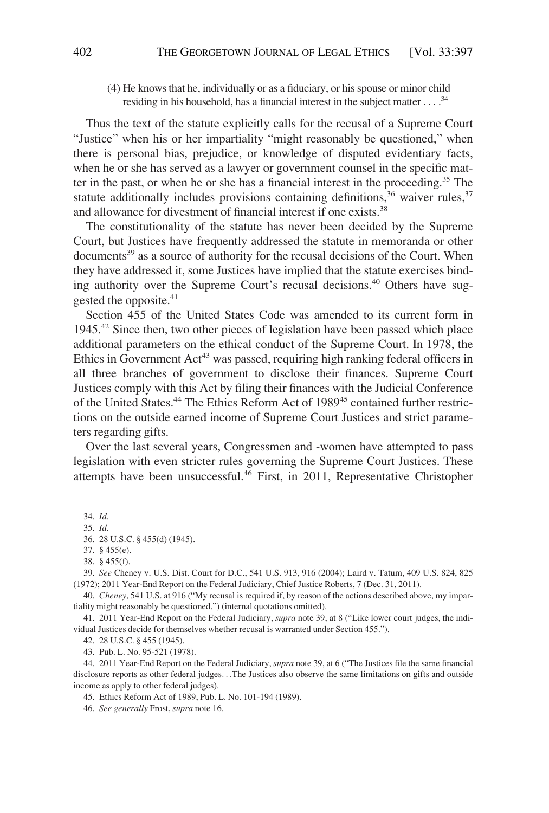(4) He knows that he, individually or as a fiduciary, or his spouse or minor child residing in his household, has a financial interest in the subject matter ... .<sup>34</sup>

Thus the text of the statute explicitly calls for the recusal of a Supreme Court "Justice" when his or her impartiality "might reasonably be questioned," when there is personal bias, prejudice, or knowledge of disputed evidentiary facts, when he or she has served as a lawyer or government counsel in the specific matter in the past, or when he or she has a financial interest in the proceeding.<sup>35</sup> The statute additionally includes provisions containing definitions,  $36$  waiver rules,  $37$ and allowance for divestment of financial interest if one exists.<sup>38</sup>

The constitutionality of the statute has never been decided by the Supreme Court, but Justices have frequently addressed the statute in memoranda or other documents<sup>39</sup> as a source of authority for the recusal decisions of the Court. When they have addressed it, some Justices have implied that the statute exercises binding authority over the Supreme Court's recusal decisions.<sup>40</sup> Others have suggested the opposite.<sup>41</sup>

Section 455 of the United States Code was amended to its current form in 1945.<sup>42</sup> Since then, two other pieces of legislation have been passed which place additional parameters on the ethical conduct of the Supreme Court. In 1978, the Ethics in Government  $Act^{43}$  was passed, requiring high ranking federal officers in all three branches of government to disclose their finances. Supreme Court Justices comply with this Act by filing their finances with the Judicial Conference of the United States.<sup>44</sup> The Ethics Reform Act of 1989<sup>45</sup> contained further restrictions on the outside earned income of Supreme Court Justices and strict parameters regarding gifts.

Over the last several years, Congressmen and -women have attempted to pass legislation with even stricter rules governing the Supreme Court Justices. These attempts have been unsuccessful.46 First, in 2011, Representative Christopher

<sup>34.</sup> *Id*.

<sup>35.</sup> *Id*.

<sup>36. 28</sup> U.S.C. § 455(d) (1945).

<sup>37. § 455(</sup>e).

<sup>38. § 455(</sup>f).

<sup>39.</sup> *See* Cheney v. U.S. Dist. Court for D.C., 541 U.S. 913, 916 (2004); Laird v. Tatum, 409 U.S. 824, 825 (1972); 2011 Year-End Report on the Federal Judiciary, Chief Justice Roberts, 7 (Dec. 31, 2011).

<sup>40.</sup> *Cheney*, 541 U.S. at 916 ("My recusal is required if, by reason of the actions described above, my impartiality might reasonably be questioned.") (internal quotations omitted).

<sup>41. 2011</sup> Year-End Report on the Federal Judiciary, *supra* note 39, at 8 ("Like lower court judges, the individual Justices decide for themselves whether recusal is warranted under Section 455.").

<sup>42. 28</sup> U.S.C. § 455 (1945).

<sup>43.</sup> Pub. L. No. 95-521 (1978).

<sup>44. 2011</sup> Year-End Report on the Federal Judiciary, *supra* note 39, at 6 ("The Justices file the same financial disclosure reports as other federal judges. . .The Justices also observe the same limitations on gifts and outside income as apply to other federal judges).

<sup>45.</sup> Ethics Reform Act of 1989, Pub. L. No. 101-194 (1989).

<sup>46.</sup> *See generally* Frost, *supra* note 16.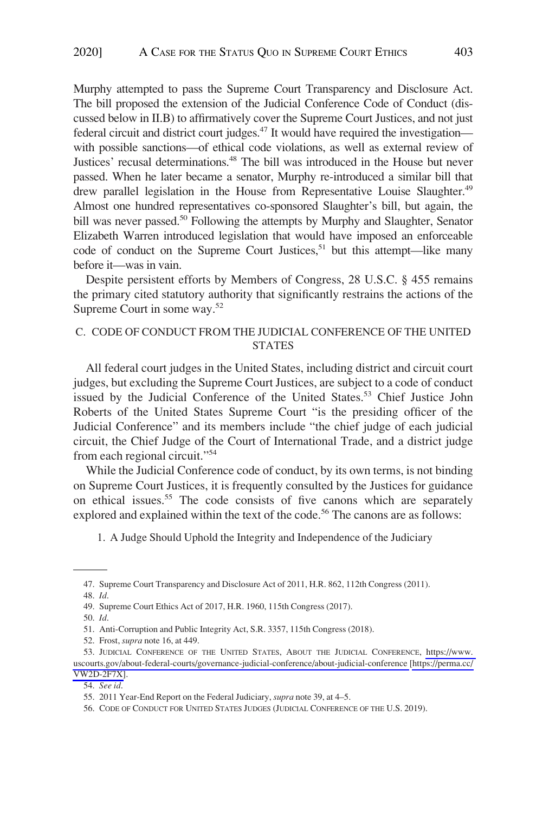Murphy attempted to pass the Supreme Court Transparency and Disclosure Act. The bill proposed the extension of the Judicial Conference Code of Conduct (discussed below in II.B) to affirmatively cover the Supreme Court Justices, and not just federal circuit and district court judges.<sup>47</sup> It would have required the investigation with possible sanctions—of ethical code violations, as well as external review of Justices' recusal determinations.<sup>48</sup> The bill was introduced in the House but never passed. When he later became a senator, Murphy re-introduced a similar bill that drew parallel legislation in the House from Representative Louise Slaughter.<sup>49</sup> Almost one hundred representatives co-sponsored Slaughter's bill, but again, the bill was never passed.<sup>50</sup> Following the attempts by Murphy and Slaughter, Senator Elizabeth Warren introduced legislation that would have imposed an enforceable code of conduct on the Supreme Court Justices,<sup>51</sup> but this attempt—like many before it—was in vain.

Despite persistent efforts by Members of Congress, 28 U.S.C. § 455 remains the primary cited statutory authority that significantly restrains the actions of the Supreme Court in some way.52

# C. CODE OF CONDUCT FROM THE JUDICIAL CONFERENCE OF THE UNITED STATES

All federal court judges in the United States, including district and circuit court judges, but excluding the Supreme Court Justices, are subject to a code of conduct issued by the Judicial Conference of the United States.<sup>53</sup> Chief Justice John Roberts of the United States Supreme Court "is the presiding officer of the Judicial Conference" and its members include "the chief judge of each judicial circuit, the Chief Judge of the Court of International Trade, and a district judge from each regional circuit."<sup>54</sup>

While the Judicial Conference code of conduct, by its own terms, is not binding on Supreme Court Justices, it is frequently consulted by the Justices for guidance on ethical issues.<sup>55</sup> The code consists of five canons which are separately explored and explained within the text of the code.<sup>56</sup> The canons are as follows:

1. A Judge Should Uphold the Integrity and Independence of the Judiciary

50. *Id*.

54. *See id*.

<sup>47.</sup> Supreme Court Transparency and Disclosure Act of 2011, H.R. 862, 112th Congress (2011).

<sup>48.</sup> *Id*.

<sup>49.</sup> Supreme Court Ethics Act of 2017, H.R. 1960, 115th Congress (2017).

<sup>51.</sup> Anti-Corruption and Public Integrity Act, S.R. 3357, 115th Congress (2018).

<sup>52.</sup> Frost, *supra* note 16, at 449.

<sup>53.</sup> JUDICIAL CONFERENCE OF THE UNITED STATES, ABOUT THE JUDICIAL CONFERENCE, https://www. [uscourts.gov/about-federal-courts/governance-judicial-conference/about-judicial-conference](https://www.uscourts.gov/about-federal-courts/governance-judicial-conference/about-judicial-conference) [\[https://perma.cc/](https://perma.cc/VW2D-2F7X) [VW2D-2F7X\]](https://perma.cc/VW2D-2F7X).

<sup>55. 2011</sup> Year-End Report on the Federal Judiciary, *supra* note 39, at 4–5.

<sup>56.</sup> CODE OF CONDUCT FOR UNITED STATES JUDGES (JUDICIAL CONFERENCE OF THE U.S. 2019).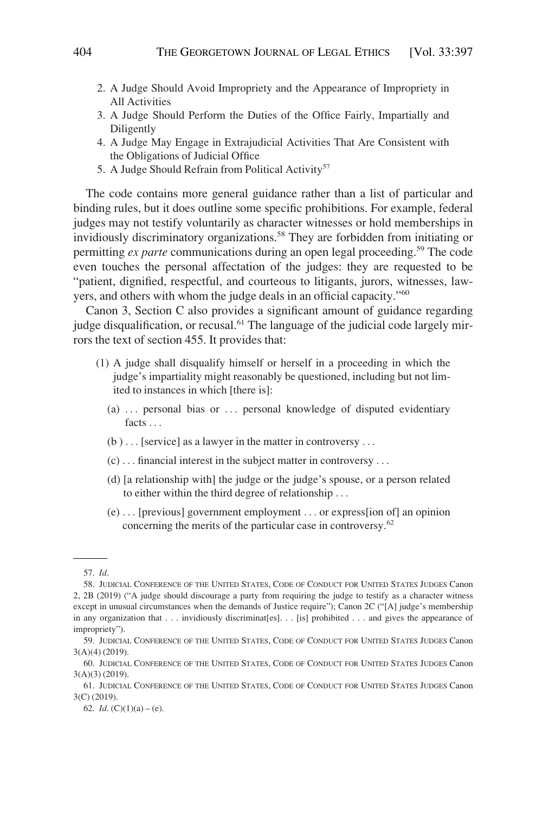- 2. A Judge Should Avoid Impropriety and the Appearance of Impropriety in All Activities
- 3. A Judge Should Perform the Duties of the Office Fairly, Impartially and Diligently
- 4. A Judge May Engage in Extrajudicial Activities That Are Consistent with the Obligations of Judicial Office
- 5. A Judge Should Refrain from Political Activity<sup>57</sup>

The code contains more general guidance rather than a list of particular and binding rules, but it does outline some specific prohibitions. For example, federal judges may not testify voluntarily as character witnesses or hold memberships in invidiously discriminatory organizations.<sup>58</sup> They are forbidden from initiating or permitting *ex parte* communications during an open legal proceeding.<sup>59</sup> The code even touches the personal affectation of the judges: they are requested to be "patient, dignified, respectful, and courteous to litigants, jurors, witnesses, lawyers, and others with whom the judge deals in an official capacity."<sup>60</sup>

Canon 3, Section C also provides a significant amount of guidance regarding judge disqualification, or recusal.<sup>61</sup> The language of the judicial code largely mirrors the text of section 455. It provides that:

- (1) A judge shall disqualify himself or herself in a proceeding in which the judge's impartiality might reasonably be questioned, including but not limited to instances in which [there is]:
	- (a)  $\ldots$  personal bias or  $\ldots$  personal knowledge of disputed evidentiary facts . . .
	- $(b) \dots$  [service] as a lawyer in the matter in controversy ...
	- (c) . . . financial interest in the subject matter in controversy . . .
	- (d) [a relationship with] the judge or the judge's spouse, or a person related to either within the third degree of relationship . . .
	- (e) . . . [previous] government employment . . . or express[ion of] an opinion concerning the merits of the particular case in controversy.<sup>62</sup>

62. *Id.*  $(C)(1)(a) - (e)$ .

<sup>57.</sup> *Id*.

<sup>58.</sup> JUDICIAL CONFERENCE OF THE UNITED STATES, CODE OF CONDUCT FOR UNITED STATES JUDGES Canon 2, 2B (2019) ("A judge should discourage a party from requiring the judge to testify as a character witness except in unusual circumstances when the demands of Justice require"); Canon 2C ("[A] judge's membership in any organization that . . . invidiously discriminat[es]. . . [is] prohibited . . . and gives the appearance of impropriety").

<sup>59.</sup> JUDICIAL CONFERENCE OF THE UNITED STATES, CODE OF CONDUCT FOR UNITED STATES JUDGES Canon 3(A)(4) (2019).

<sup>60.</sup> JUDICIAL CONFERENCE OF THE UNITED STATES, CODE OF CONDUCT FOR UNITED STATES JUDGES Canon 3(A)(3) (2019).

<sup>61.</sup> JUDICIAL CONFERENCE OF THE UNITED STATES, CODE OF CONDUCT FOR UNITED STATES JUDGES Canon 3(C) (2019).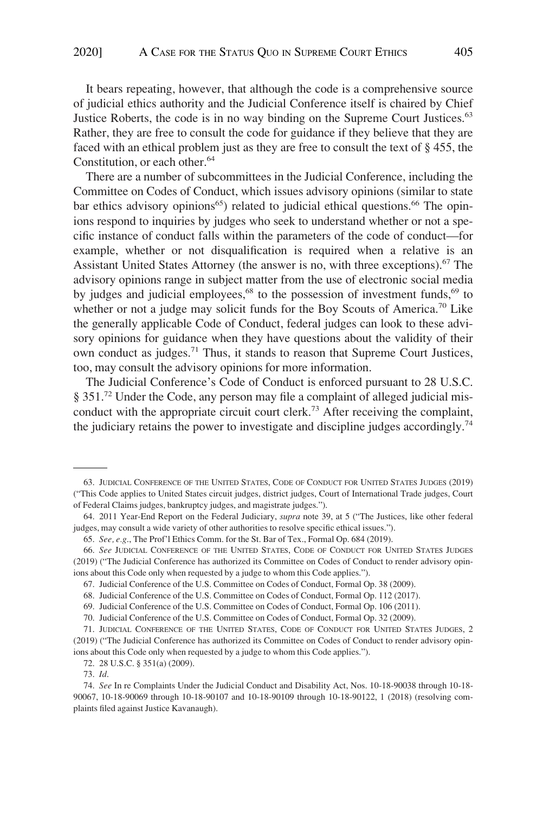It bears repeating, however, that although the code is a comprehensive source of judicial ethics authority and the Judicial Conference itself is chaired by Chief Justice Roberts, the code is in no way binding on the Supreme Court Justices.<sup>63</sup> Rather, they are free to consult the code for guidance if they believe that they are faced with an ethical problem just as they are free to consult the text of § 455, the Constitution, or each other.<sup>64</sup>

There are a number of subcommittees in the Judicial Conference, including the Committee on Codes of Conduct, which issues advisory opinions (similar to state bar ethics advisory opinions<sup>65</sup>) related to judicial ethical questions.<sup>66</sup> The opinions respond to inquiries by judges who seek to understand whether or not a specific instance of conduct falls within the parameters of the code of conduct—for example, whether or not disqualification is required when a relative is an Assistant United States Attorney (the answer is no, with three exceptions).<sup>67</sup> The advisory opinions range in subject matter from the use of electronic social media by judges and judicial employees, $68$  to the possession of investment funds, $69$  to whether or not a judge may solicit funds for the Boy Scouts of America.<sup>70</sup> Like the generally applicable Code of Conduct, federal judges can look to these advisory opinions for guidance when they have questions about the validity of their own conduct as judges.<sup>71</sup> Thus, it stands to reason that Supreme Court Justices, too, may consult the advisory opinions for more information.

The Judicial Conference's Code of Conduct is enforced pursuant to 28 U.S.C. § 351.<sup>72</sup> Under the Code, any person may file a complaint of alleged judicial misconduct with the appropriate circuit court clerk.<sup>73</sup> After receiving the complaint, the judiciary retains the power to investigate and discipline judges accordingly.<sup>74</sup>

<sup>63.</sup> JUDICIAL CONFERENCE OF THE UNITED STATES, CODE OF CONDUCT FOR UNITED STATES JUDGES (2019) ("This Code applies to United States circuit judges, district judges, Court of International Trade judges, Court of Federal Claims judges, bankruptcy judges, and magistrate judges.").

<sup>64. 2011</sup> Year-End Report on the Federal Judiciary, *supra* note 39, at 5 ("The Justices, like other federal judges, may consult a wide variety of other authorities to resolve specific ethical issues.").

<sup>65.</sup> *See, e.g*., The Prof'l Ethics Comm. for the St. Bar of Tex., Formal Op. 684 (2019).

<sup>66.</sup> *See* JUDICIAL CONFERENCE OF THE UNITED STATES, CODE OF CONDUCT FOR UNITED STATES JUDGES (2019) ("The Judicial Conference has authorized its Committee on Codes of Conduct to render advisory opinions about this Code only when requested by a judge to whom this Code applies.").

<sup>67.</sup> Judicial Conference of the U.S. Committee on Codes of Conduct, Formal Op. 38 (2009).

<sup>68.</sup> Judicial Conference of the U.S. Committee on Codes of Conduct, Formal Op. 112 (2017).

<sup>69.</sup> Judicial Conference of the U.S. Committee on Codes of Conduct, Formal Op. 106 (2011).

<sup>70.</sup> Judicial Conference of the U.S. Committee on Codes of Conduct, Formal Op. 32 (2009).

<sup>71.</sup> JUDICIAL CONFERENCE OF THE UNITED STATES, CODE OF CONDUCT FOR UNITED STATES JUDGES, 2 (2019) ("The Judicial Conference has authorized its Committee on Codes of Conduct to render advisory opinions about this Code only when requested by a judge to whom this Code applies.").

<sup>72. 28</sup> U.S.C. § 351(a) (2009).

<sup>73.</sup> *Id*.

<sup>74.</sup> *See* In re Complaints Under the Judicial Conduct and Disability Act, Nos. 10-18-90038 through 10-18- 90067, 10-18-90069 through 10-18-90107 and 10-18-90109 through 10-18-90122, 1 (2018) (resolving complaints filed against Justice Kavanaugh).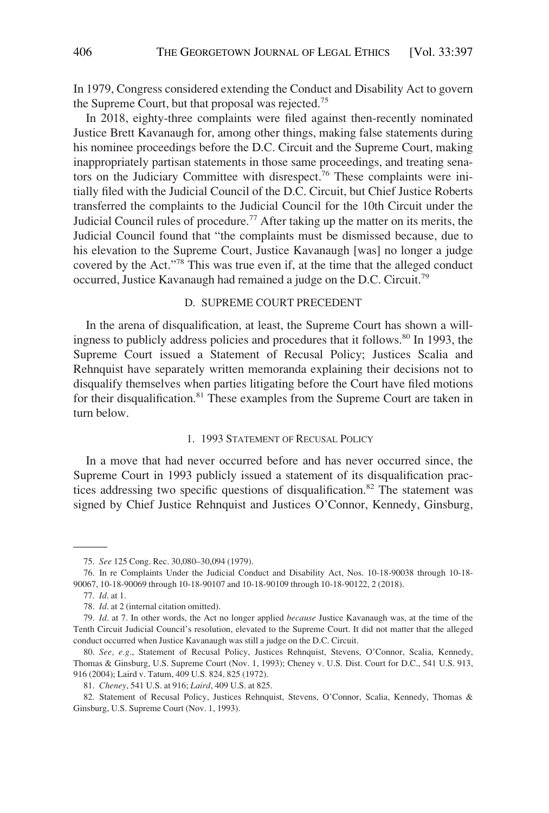In 1979, Congress considered extending the Conduct and Disability Act to govern the Supreme Court, but that proposal was rejected.<sup>75</sup>

In 2018, eighty-three complaints were filed against then-recently nominated Justice Brett Kavanaugh for, among other things, making false statements during his nominee proceedings before the D.C. Circuit and the Supreme Court, making inappropriately partisan statements in those same proceedings, and treating senators on the Judiciary Committee with disrespect.<sup>76</sup> These complaints were initially filed with the Judicial Council of the D.C. Circuit, but Chief Justice Roberts transferred the complaints to the Judicial Council for the 10th Circuit under the Judicial Council rules of procedure.<sup>77</sup> After taking up the matter on its merits, the Judicial Council found that "the complaints must be dismissed because, due to his elevation to the Supreme Court, Justice Kavanaugh [was] no longer a judge covered by the Act."<sup>78</sup> This was true even if, at the time that the alleged conduct occurred, Justice Kavanaugh had remained a judge on the D.C. Circuit.79

# D. SUPREME COURT PRECEDENT

In the arena of disqualification, at least, the Supreme Court has shown a willingness to publicly address policies and procedures that it follows.<sup>80</sup> In 1993, the Supreme Court issued a Statement of Recusal Policy; Justices Scalia and Rehnquist have separately written memoranda explaining their decisions not to disqualify themselves when parties litigating before the Court have filed motions for their disqualification.<sup>81</sup> These examples from the Supreme Court are taken in turn below.

#### 1. 1993 STATEMENT OF RECUSAL POLICY

In a move that had never occurred before and has never occurred since, the Supreme Court in 1993 publicly issued a statement of its disqualification practices addressing two specific questions of disqualification.<sup>82</sup> The statement was signed by Chief Justice Rehnquist and Justices O'Connor, Kennedy, Ginsburg,

77. *Id*. at 1.

<sup>75.</sup> *See* 125 Cong. Rec. 30,080–30,094 (1979).

<sup>76.</sup> In re Complaints Under the Judicial Conduct and Disability Act, Nos. 10-18-90038 through 10-18- 90067, 10-18-90069 through 10-18-90107 and 10-18-90109 through 10-18-90122, 2 (2018).

<sup>78.</sup> *Id*. at 2 (internal citation omitted).

<sup>79.</sup> *Id*. at 7. In other words, the Act no longer applied *because* Justice Kavanaugh was, at the time of the Tenth Circuit Judicial Council's resolution, elevated to the Supreme Court. It did not matter that the alleged conduct occurred when Justice Kavanaugh was still a judge on the D.C. Circuit.

<sup>80.</sup> *See, e.g*., Statement of Recusal Policy, Justices Rehnquist, Stevens, O'Connor, Scalia, Kennedy, Thomas & Ginsburg, U.S. Supreme Court (Nov. 1, 1993); Cheney v. U.S. Dist. Court for D.C., 541 U.S. 913, 916 (2004); Laird v. Tatum, 409 U.S. 824, 825 (1972).

<sup>81.</sup> *Cheney*, 541 U.S. at 916; *Laird*, 409 U.S. at 825.

<sup>82.</sup> Statement of Recusal Policy, Justices Rehnquist, Stevens, O'Connor, Scalia, Kennedy, Thomas & Ginsburg, U.S. Supreme Court (Nov. 1, 1993).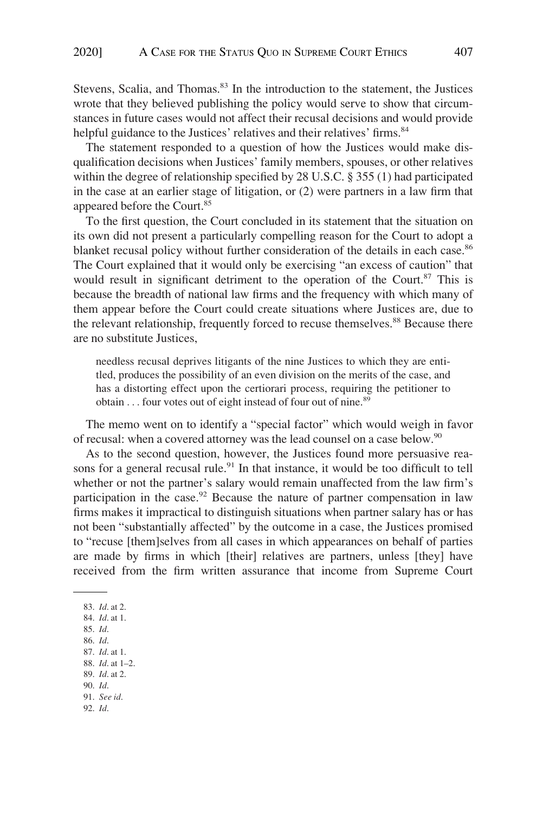Stevens, Scalia, and Thomas.<sup>83</sup> In the introduction to the statement, the Justices wrote that they believed publishing the policy would serve to show that circumstances in future cases would not affect their recusal decisions and would provide helpful guidance to the Justices' relatives and their relatives' firms.<sup>84</sup>

The statement responded to a question of how the Justices would make disqualification decisions when Justices' family members, spouses, or other relatives within the degree of relationship specified by 28 U.S.C. § 355 (1) had participated in the case at an earlier stage of litigation, or (2) were partners in a law firm that appeared before the Court.<sup>85</sup>

To the first question, the Court concluded in its statement that the situation on its own did not present a particularly compelling reason for the Court to adopt a blanket recusal policy without further consideration of the details in each case.<sup>86</sup> The Court explained that it would only be exercising "an excess of caution" that would result in significant detriment to the operation of the Court.<sup>87</sup> This is because the breadth of national law firms and the frequency with which many of them appear before the Court could create situations where Justices are, due to the relevant relationship, frequently forced to recuse themselves.<sup>88</sup> Because there are no substitute Justices,

needless recusal deprives litigants of the nine Justices to which they are entitled, produces the possibility of an even division on the merits of the case, and has a distorting effect upon the certiorari process, requiring the petitioner to obtain  $\dots$  four votes out of eight instead of four out of nine.<sup>89</sup>

The memo went on to identify a "special factor" which would weigh in favor of recusal: when a covered attorney was the lead counsel on a case below.<sup>90</sup>

As to the second question, however, the Justices found more persuasive reasons for a general recusal rule.<sup>91</sup> In that instance, it would be too difficult to tell whether or not the partner's salary would remain unaffected from the law firm's participation in the case.<sup>92</sup> Because the nature of partner compensation in law firms makes it impractical to distinguish situations when partner salary has or has not been "substantially affected" by the outcome in a case, the Justices promised to "recuse [them]selves from all cases in which appearances on behalf of parties are made by firms in which [their] relatives are partners, unless [they] have received from the firm written assurance that income from Supreme Court

83. *Id*. at 2. 84. *Id*. at 1. 85. *Id*. 86. *Id*. 87. *Id*. at 1. 88. *Id*. at 1–2. 89. *Id*. at 2. 90. *Id*. 91. *See id*. 92. *Id*.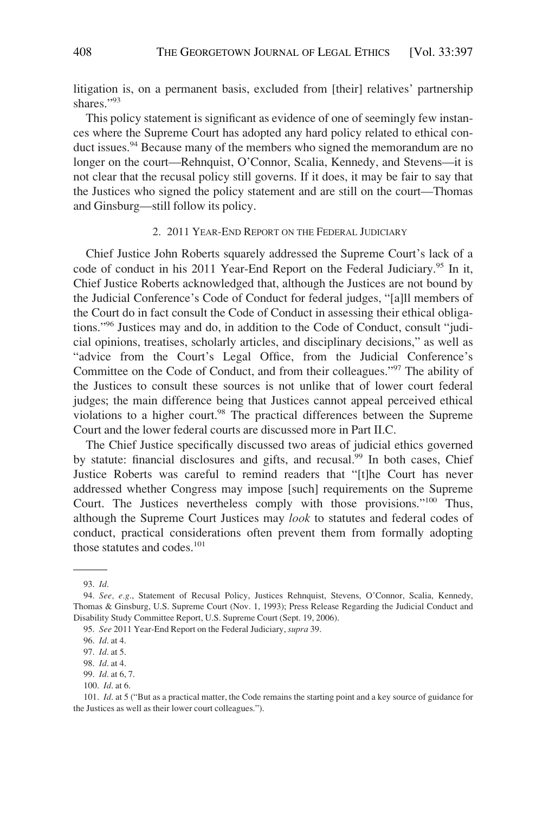litigation is, on a permanent basis, excluded from [their] relatives' partnership shares."93

This policy statement is significant as evidence of one of seemingly few instances where the Supreme Court has adopted any hard policy related to ethical conduct issues.94 Because many of the members who signed the memorandum are no longer on the court—Rehnquist, O'Connor, Scalia, Kennedy, and Stevens—it is not clear that the recusal policy still governs. If it does, it may be fair to say that the Justices who signed the policy statement and are still on the court—Thomas and Ginsburg—still follow its policy.

### 2. 2011 YEAR-END REPORT ON THE FEDERAL JUDICIARY

Chief Justice John Roberts squarely addressed the Supreme Court's lack of a code of conduct in his 2011 Year-End Report on the Federal Judiciary.<sup>95</sup> In it, Chief Justice Roberts acknowledged that, although the Justices are not bound by the Judicial Conference's Code of Conduct for federal judges, "[a]ll members of the Court do in fact consult the Code of Conduct in assessing their ethical obligations."96 Justices may and do, in addition to the Code of Conduct, consult "judicial opinions, treatises, scholarly articles, and disciplinary decisions," as well as "advice from the Court's Legal Office, from the Judicial Conference's Committee on the Code of Conduct, and from their colleagues."97 The ability of the Justices to consult these sources is not unlike that of lower court federal judges; the main difference being that Justices cannot appeal perceived ethical violations to a higher court.<sup>98</sup> The practical differences between the Supreme Court and the lower federal courts are discussed more in Part II.C.

The Chief Justice specifically discussed two areas of judicial ethics governed by statute: financial disclosures and gifts, and recusal.<sup>99</sup> In both cases, Chief Justice Roberts was careful to remind readers that "[t]he Court has never addressed whether Congress may impose [such] requirements on the Supreme Court. The Justices nevertheless comply with those provisions."100 Thus, although the Supreme Court Justices may *look* to statutes and federal codes of conduct, practical considerations often prevent them from formally adopting those statutes and codes.<sup>101</sup>

<sup>93.</sup> *Id*.

<sup>94.</sup> *See, e.g*., Statement of Recusal Policy, Justices Rehnquist, Stevens, O'Connor, Scalia, Kennedy, Thomas & Ginsburg, U.S. Supreme Court (Nov. 1, 1993); Press Release Regarding the Judicial Conduct and Disability Study Committee Report, U.S. Supreme Court (Sept. 19, 2006).

<sup>95.</sup> *See* 2011 Year-End Report on the Federal Judiciary, *supra* 39.

<sup>96.</sup> *Id*. at 4.

<sup>97.</sup> *Id*. at 5.

<sup>98.</sup> *Id*. at 4.

<sup>99.</sup> *Id*. at 6, 7.

<sup>100.</sup> *Id*. at 6.

<sup>101.</sup> *Id*. at 5 ("But as a practical matter, the Code remains the starting point and a key source of guidance for the Justices as well as their lower court colleagues.").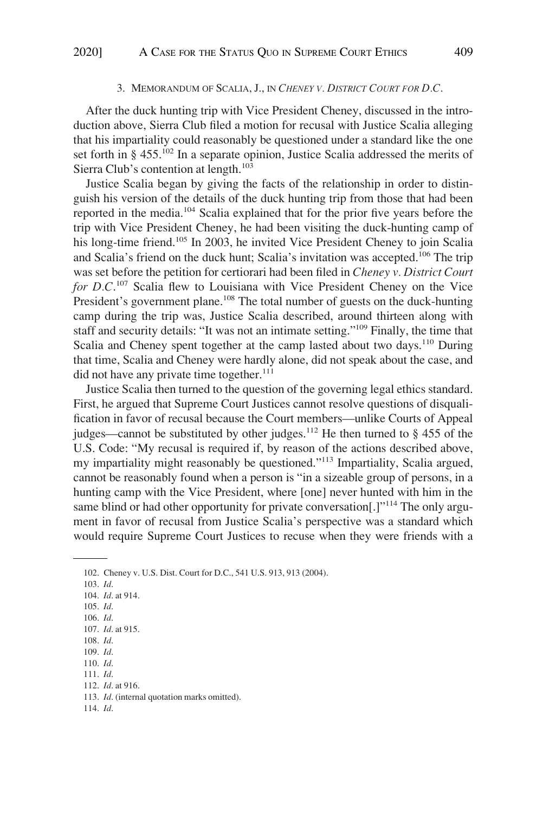#### 3. MEMORANDUM OF SCALIA, J., IN *CHENEY V. DISTRICT COURT FOR D.C*.

After the duck hunting trip with Vice President Cheney, discussed in the introduction above, Sierra Club filed a motion for recusal with Justice Scalia alleging that his impartiality could reasonably be questioned under a standard like the one set forth in § 455.<sup>102</sup> In a separate opinion, Justice Scalia addressed the merits of Sierra Club's contention at length.<sup>103</sup>

Justice Scalia began by giving the facts of the relationship in order to distinguish his version of the details of the duck hunting trip from those that had been reported in the media.104 Scalia explained that for the prior five years before the trip with Vice President Cheney, he had been visiting the duck-hunting camp of his long-time friend.<sup>105</sup> In 2003, he invited Vice President Cheney to join Scalia and Scalia's friend on the duck hunt; Scalia's invitation was accepted.<sup>106</sup> The trip was set before the petition for certiorari had been filed in *Cheney v. District Court for D.C*. 107 Scalia flew to Louisiana with Vice President Cheney on the Vice President's government plane.<sup>108</sup> The total number of guests on the duck-hunting camp during the trip was, Justice Scalia described, around thirteen along with staff and security details: "It was not an intimate setting."109 Finally, the time that Scalia and Cheney spent together at the camp lasted about two days.<sup>110</sup> During that time, Scalia and Cheney were hardly alone, did not speak about the case, and  $\rm{did}$  not have any private time together.<sup>111</sup>

Justice Scalia then turned to the question of the governing legal ethics standard. First, he argued that Supreme Court Justices cannot resolve questions of disqualification in favor of recusal because the Court members—unlike Courts of Appeal judges—cannot be substituted by other judges.<sup>112</sup> He then turned to  $\S$  455 of the U.S. Code: "My recusal is required if, by reason of the actions described above, my impartiality might reasonably be questioned."113 Impartiality, Scalia argued, cannot be reasonably found when a person is "in a sizeable group of persons, in a hunting camp with the Vice President, where [one] never hunted with him in the same blind or had other opportunity for private conversation[.]"<sup>114</sup> The only argument in favor of recusal from Justice Scalia's perspective was a standard which would require Supreme Court Justices to recuse when they were friends with a

- 103. *Id*.
- 104. *Id*. at 914.
- 105. *Id*.
- 106. *Id*.
- 107. *Id*. at 915. 108. *Id*.
- 109. *Id*.
- 110. *Id*.
- 111. *Id*.
- 112. *Id*. at 916.
- 113. *Id*. (internal quotation marks omitted).
- 114. *Id*.

<sup>102.</sup> Cheney v. U.S. Dist. Court for D.C., 541 U.S. 913, 913 (2004).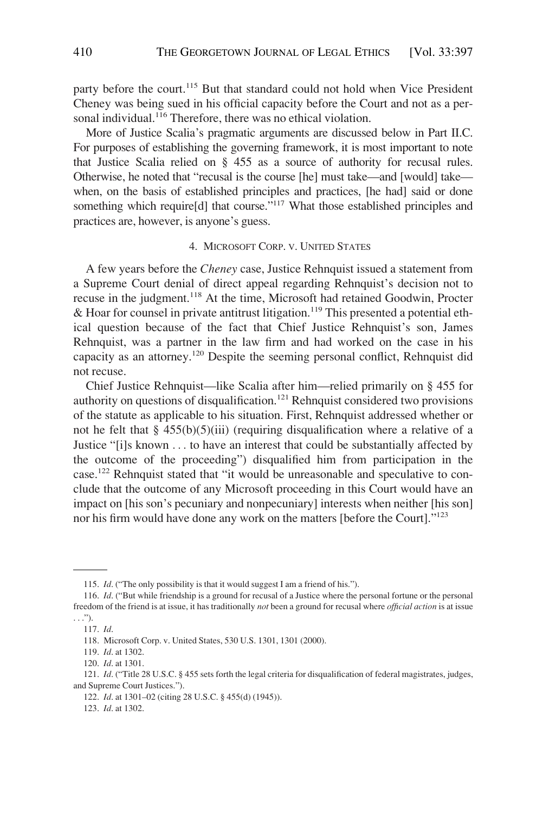party before the court.<sup>115</sup> But that standard could not hold when Vice President Cheney was being sued in his official capacity before the Court and not as a personal individual.<sup>116</sup> Therefore, there was no ethical violation.

More of Justice Scalia's pragmatic arguments are discussed below in Part II.C. For purposes of establishing the governing framework, it is most important to note that Justice Scalia relied on § 455 as a source of authority for recusal rules. Otherwise, he noted that "recusal is the course [he] must take—and [would] take when, on the basis of established principles and practices, [he had] said or done something which require[d] that course."<sup>117</sup> What those established principles and practices are, however, is anyone's guess.

### 4. MICROSOFT CORP. V. UNITED STATES

A few years before the *Cheney* case, Justice Rehnquist issued a statement from a Supreme Court denial of direct appeal regarding Rehnquist's decision not to recuse in the judgment.<sup>118</sup> At the time, Microsoft had retained Goodwin, Procter & Hoar for counsel in private antitrust litigation.<sup>119</sup> This presented a potential ethical question because of the fact that Chief Justice Rehnquist's son, James Rehnquist, was a partner in the law firm and had worked on the case in his capacity as an attorney.120 Despite the seeming personal conflict, Rehnquist did not recuse.

Chief Justice Rehnquist—like Scalia after him—relied primarily on § 455 for authority on questions of disqualification.<sup>121</sup> Rehnquist considered two provisions of the statute as applicable to his situation. First, Rehnquist addressed whether or not he felt that  $\S$  455(b)(5)(iii) (requiring disqualification where a relative of a Justice "[i]s known . . . to have an interest that could be substantially affected by the outcome of the proceeding") disqualified him from participation in the case.122 Rehnquist stated that "it would be unreasonable and speculative to conclude that the outcome of any Microsoft proceeding in this Court would have an impact on [his son's pecuniary and nonpecuniary] interests when neither [his son] nor his firm would have done any work on the matters [before the Court]."<sup>123</sup>

<sup>115.</sup> *Id*. ("The only possibility is that it would suggest I am a friend of his.").

<sup>116.</sup> *Id*. ("But while friendship is a ground for recusal of a Justice where the personal fortune or the personal freedom of the friend is at issue, it has traditionally *not* been a ground for recusal where *official action* is at issue  $\ldots$ ").

<sup>117.</sup> *Id*.

<sup>118.</sup> Microsoft Corp. v. United States, 530 U.S. 1301, 1301 (2000).

<sup>119.</sup> *Id*. at 1302.

<sup>120.</sup> *Id*. at 1301.

<sup>121.</sup> *Id*. ("Title 28 U.S.C. § 455 sets forth the legal criteria for disqualification of federal magistrates, judges, and Supreme Court Justices.").

<sup>122.</sup> *Id*. at 1301–02 (citing 28 U.S.C. § 455(d) (1945)).

<sup>123.</sup> *Id*. at 1302.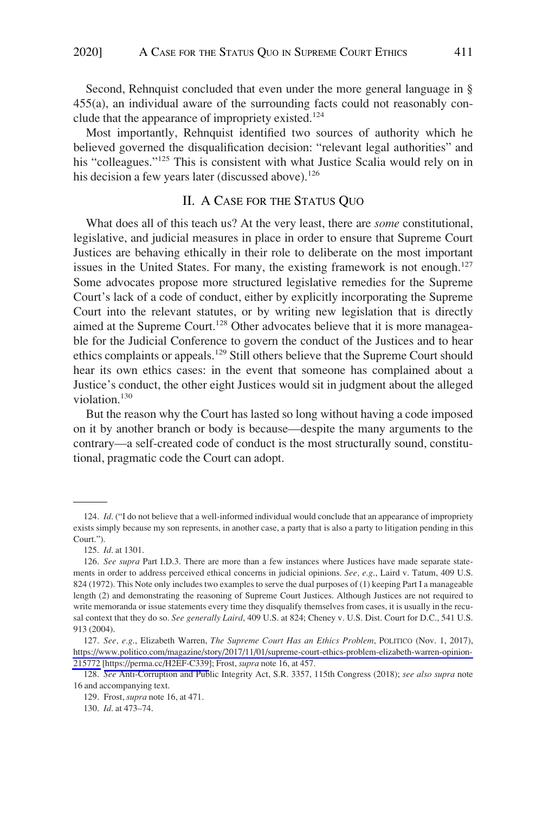Second, Rehnquist concluded that even under the more general language in § 455(a), an individual aware of the surrounding facts could not reasonably conclude that the appearance of impropriety existed.<sup>124</sup>

Most importantly, Rehnquist identified two sources of authority which he believed governed the disqualification decision: "relevant legal authorities" and his "colleagues."<sup>125</sup> This is consistent with what Justice Scalia would rely on in his decision a few years later (discussed above).<sup>126</sup>

# II. A CASE FOR THE STATUS QUO

What does all of this teach us? At the very least, there are *some* constitutional, legislative, and judicial measures in place in order to ensure that Supreme Court Justices are behaving ethically in their role to deliberate on the most important issues in the United States. For many, the existing framework is not enough.<sup>127</sup> Some advocates propose more structured legislative remedies for the Supreme Court's lack of a code of conduct, either by explicitly incorporating the Supreme Court into the relevant statutes, or by writing new legislation that is directly aimed at the Supreme Court.<sup>128</sup> Other advocates believe that it is more manageable for the Judicial Conference to govern the conduct of the Justices and to hear ethics complaints or appeals.<sup>129</sup> Still others believe that the Supreme Court should hear its own ethics cases: in the event that someone has complained about a Justice's conduct, the other eight Justices would sit in judgment about the alleged violation.<sup>130</sup>

But the reason why the Court has lasted so long without having a code imposed on it by another branch or body is because—despite the many arguments to the contrary—a self-created code of conduct is the most structurally sound, constitutional, pragmatic code the Court can adopt.

<sup>124.</sup> *Id*. ("I do not believe that a well-informed individual would conclude that an appearance of impropriety exists simply because my son represents, in another case, a party that is also a party to litigation pending in this Court.").

<sup>125.</sup> *Id*. at 1301.

<sup>126.</sup> *See supra* Part I.D.3. There are more than a few instances where Justices have made separate statements in order to address perceived ethical concerns in judicial opinions. *See, e.g*., Laird v. Tatum, 409 U.S. 824 (1972). This Note only includes two examples to serve the dual purposes of (1) keeping Part I a manageable length (2) and demonstrating the reasoning of Supreme Court Justices. Although Justices are not required to write memoranda or issue statements every time they disqualify themselves from cases, it is usually in the recusal context that they do so. *See generally Laird*, 409 U.S. at 824; Cheney v. U.S. Dist. Court for D.C., 541 U.S. 913 (2004).

<sup>127.</sup> See, e.g., Elizabeth Warren, *The Supreme Court Has an Ethics Problem*, POLITICO (Nov. 1, 2017), [https://www.politico.com/magazine/story/2017/11/01/supreme-court-ethics-problem-elizabeth-warren-opinion-](https://www.politico.com/magazine/story/2017/11/01/supreme-court-ethics-problem-elizabeth-warren-opinion-215772)[215772](https://www.politico.com/magazine/story/2017/11/01/supreme-court-ethics-problem-elizabeth-warren-opinion-215772) [\[https://perma.cc/H2EF-C339\]](https://perma.cc/H2EF-C339); Frost, *supra* note 16, at 457.

<sup>128.</sup> *See* Anti-Corruption and Public Integrity Act, S.R. 3357, 115th Congress (2018); *see also supra* note 16 and accompanying text.

<sup>129.</sup> Frost, *supra* note 16, at 471.

<sup>130.</sup> *Id*. at 473–74.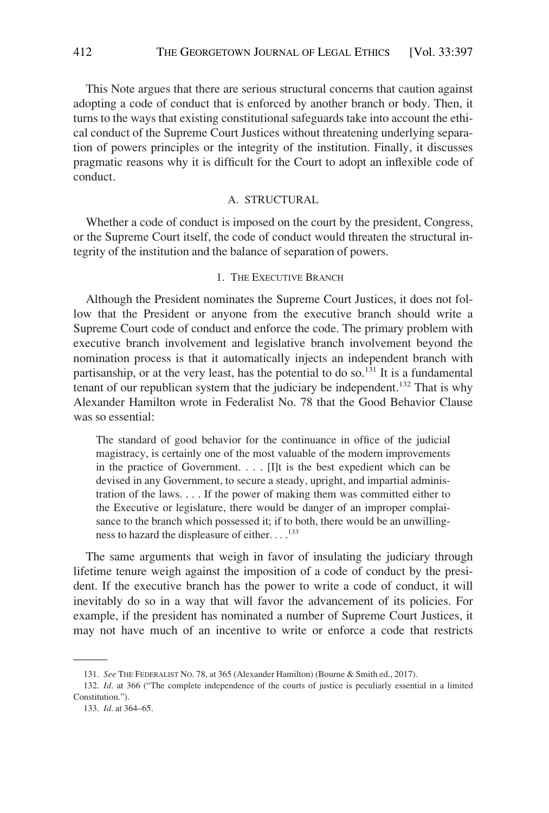This Note argues that there are serious structural concerns that caution against adopting a code of conduct that is enforced by another branch or body. Then, it turns to the ways that existing constitutional safeguards take into account the ethical conduct of the Supreme Court Justices without threatening underlying separation of powers principles or the integrity of the institution. Finally, it discusses pragmatic reasons why it is difficult for the Court to adopt an inflexible code of conduct.

#### A. STRUCTURAL

Whether a code of conduct is imposed on the court by the president, Congress, or the Supreme Court itself, the code of conduct would threaten the structural integrity of the institution and the balance of separation of powers.

# 1. THE EXECUTIVE BRANCH

Although the President nominates the Supreme Court Justices, it does not follow that the President or anyone from the executive branch should write a Supreme Court code of conduct and enforce the code. The primary problem with executive branch involvement and legislative branch involvement beyond the nomination process is that it automatically injects an independent branch with partisanship, or at the very least, has the potential to do so.<sup>131</sup> It is a fundamental tenant of our republican system that the judiciary be independent.<sup>132</sup> That is why Alexander Hamilton wrote in Federalist No. 78 that the Good Behavior Clause was so essential:

The standard of good behavior for the continuance in office of the judicial magistracy, is certainly one of the most valuable of the modern improvements in the practice of Government. . . . [I]t is the best expedient which can be devised in any Government, to secure a steady, upright, and impartial administration of the laws. . . . If the power of making them was committed either to the Executive or legislature, there would be danger of an improper complaisance to the branch which possessed it; if to both, there would be an unwillingness to hazard the displeasure of either. . . . 133

The same arguments that weigh in favor of insulating the judiciary through lifetime tenure weigh against the imposition of a code of conduct by the president. If the executive branch has the power to write a code of conduct, it will inevitably do so in a way that will favor the advancement of its policies. For example, if the president has nominated a number of Supreme Court Justices, it may not have much of an incentive to write or enforce a code that restricts

<sup>131.</sup> *See* THE FEDERALIST NO. 78, at 365 (Alexander Hamilton) (Bourne & Smith ed., 2017).

<sup>132.</sup> *Id*. at 366 ("The complete independence of the courts of justice is peculiarly essential in a limited Constitution.").

<sup>133.</sup> *Id*. at 364–65.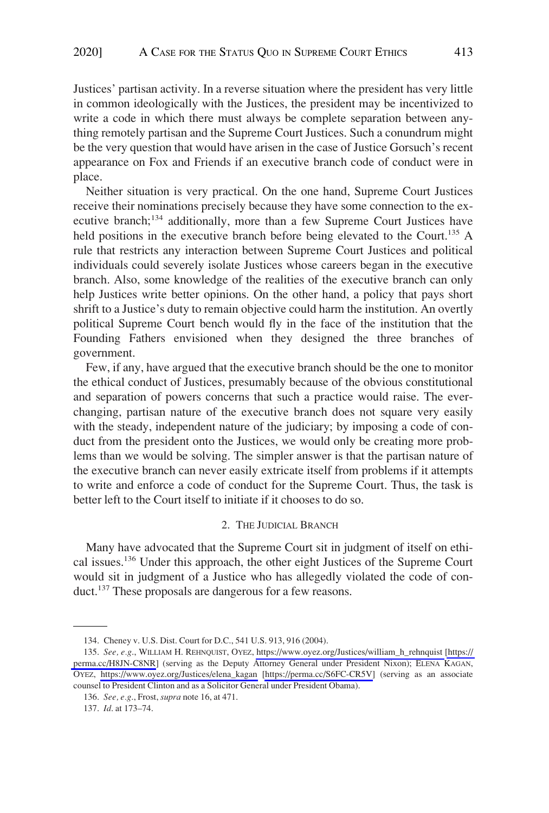Justices' partisan activity. In a reverse situation where the president has very little in common ideologically with the Justices, the president may be incentivized to write a code in which there must always be complete separation between anything remotely partisan and the Supreme Court Justices. Such a conundrum might be the very question that would have arisen in the case of Justice Gorsuch's recent appearance on Fox and Friends if an executive branch code of conduct were in place.

Neither situation is very practical. On the one hand, Supreme Court Justices receive their nominations precisely because they have some connection to the executive branch;<sup>134</sup> additionally, more than a few Supreme Court Justices have held positions in the executive branch before being elevated to the Court.<sup>135</sup> A rule that restricts any interaction between Supreme Court Justices and political individuals could severely isolate Justices whose careers began in the executive branch. Also, some knowledge of the realities of the executive branch can only help Justices write better opinions. On the other hand, a policy that pays short shrift to a Justice's duty to remain objective could harm the institution. An overtly political Supreme Court bench would fly in the face of the institution that the Founding Fathers envisioned when they designed the three branches of government.

Few, if any, have argued that the executive branch should be the one to monitor the ethical conduct of Justices, presumably because of the obvious constitutional and separation of powers concerns that such a practice would raise. The everchanging, partisan nature of the executive branch does not square very easily with the steady, independent nature of the judiciary; by imposing a code of conduct from the president onto the Justices, we would only be creating more problems than we would be solving. The simpler answer is that the partisan nature of the executive branch can never easily extricate itself from problems if it attempts to write and enforce a code of conduct for the Supreme Court. Thus, the task is better left to the Court itself to initiate if it chooses to do so.

#### 2. THE JUDICIAL BRANCH

Many have advocated that the Supreme Court sit in judgment of itself on ethical issues.136 Under this approach, the other eight Justices of the Supreme Court would sit in judgment of a Justice who has allegedly violated the code of conduct.<sup>137</sup> These proposals are dangerous for a few reasons.

<sup>134.</sup> Cheney v. U.S. Dist. Court for D.C., 541 U.S. 913, 916 (2004).

<sup>135.</sup> See, e.g., WILLIAM H. REHNQUIST, OYEZ, [https://www.oyez.org/Justices/william\\_h\\_rehnquist](https://www.oyez.org/Justices/william_h_rehnquist) [https:// [perma.cc/H8JN-C8NR](https://perma.cc/H8JN-C8NR)] (serving as the Deputy Attorney General under President Nixon); ELENA KAGAN, OYEZ, [https://www.oyez.org/Justices/elena\\_kagan](https://www.oyez.org/Justices/elena_kagan) [\[https://perma.cc/S6FC-CR5V\]](https://perma.cc/S6FC-CR5V) (serving as an associate counsel to President Clinton and as a Solicitor General under President Obama).

<sup>136.</sup> *See, e.g*., Frost, *supra* note 16, at 471.

<sup>137.</sup> *Id*. at 173–74.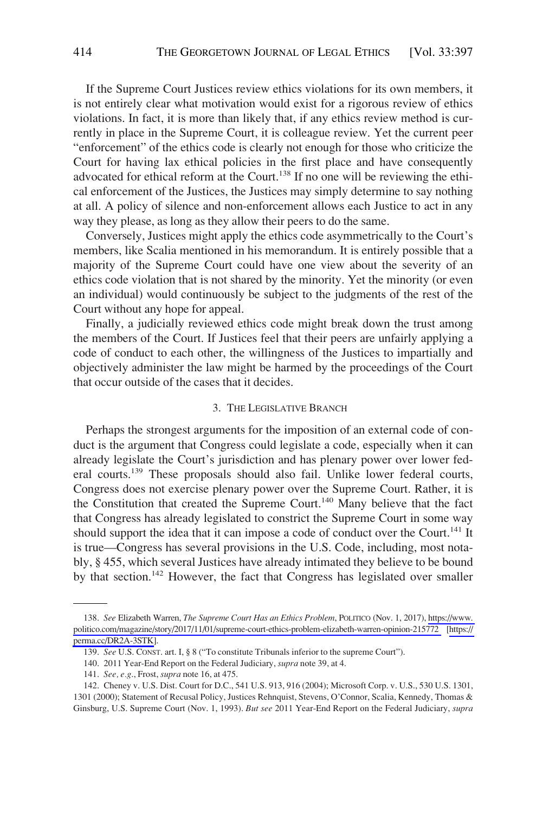If the Supreme Court Justices review ethics violations for its own members, it is not entirely clear what motivation would exist for a rigorous review of ethics violations. In fact, it is more than likely that, if any ethics review method is currently in place in the Supreme Court, it is colleague review. Yet the current peer "enforcement" of the ethics code is clearly not enough for those who criticize the Court for having lax ethical policies in the first place and have consequently advocated for ethical reform at the Court.<sup>138</sup> If no one will be reviewing the ethical enforcement of the Justices, the Justices may simply determine to say nothing at all. A policy of silence and non-enforcement allows each Justice to act in any way they please, as long as they allow their peers to do the same.

Conversely, Justices might apply the ethics code asymmetrically to the Court's members, like Scalia mentioned in his memorandum. It is entirely possible that a majority of the Supreme Court could have one view about the severity of an ethics code violation that is not shared by the minority. Yet the minority (or even an individual) would continuously be subject to the judgments of the rest of the Court without any hope for appeal.

Finally, a judicially reviewed ethics code might break down the trust among the members of the Court. If Justices feel that their peers are unfairly applying a code of conduct to each other, the willingness of the Justices to impartially and objectively administer the law might be harmed by the proceedings of the Court that occur outside of the cases that it decides.

#### 3. THE LEGISLATIVE BRANCH

Perhaps the strongest arguments for the imposition of an external code of conduct is the argument that Congress could legislate a code, especially when it can already legislate the Court's jurisdiction and has plenary power over lower federal courts.139 These proposals should also fail. Unlike lower federal courts, Congress does not exercise plenary power over the Supreme Court. Rather, it is the Constitution that created the Supreme Court.<sup>140</sup> Many believe that the fact that Congress has already legislated to constrict the Supreme Court in some way should support the idea that it can impose a code of conduct over the Court.<sup>141</sup> It is true—Congress has several provisions in the U.S. Code, including, most notably, § 455, which several Justices have already intimated they believe to be bound by that section.<sup>142</sup> However, the fact that Congress has legislated over smaller

<sup>138.</sup> See Elizabeth Warren, *The Supreme Court Has an Ethics Problem*, POLITICO (Nov. 1, 2017), https://www. [politico.com/magazine/story/2017/11/01/supreme-court-ethics-problem-elizabeth-warren-opinion-215772](https://www.politico.com/magazine/story/2017/11/01/supreme-court-ethics-problem-elizabeth-warren-opinion-215772) [\[https://](https://perma.cc/DR2A-3STK)  [perma.cc/DR2A-3STK\]](https://perma.cc/DR2A-3STK).

<sup>139.</sup> *See* U.S. CONST. art. I, § 8 ("To constitute Tribunals inferior to the supreme Court").

<sup>140. 2011</sup> Year-End Report on the Federal Judiciary, *supra* note 39, at 4.

<sup>141.</sup> *See, e.g*., Frost, *supra* note 16, at 475.

<sup>142.</sup> Cheney v. U.S. Dist. Court for D.C., 541 U.S. 913, 916 (2004); Microsoft Corp. v. U.S., 530 U.S. 1301, 1301 (2000); Statement of Recusal Policy, Justices Rehnquist, Stevens, O'Connor, Scalia, Kennedy, Thomas & Ginsburg, U.S. Supreme Court (Nov. 1, 1993). *But see* 2011 Year-End Report on the Federal Judiciary, *supra*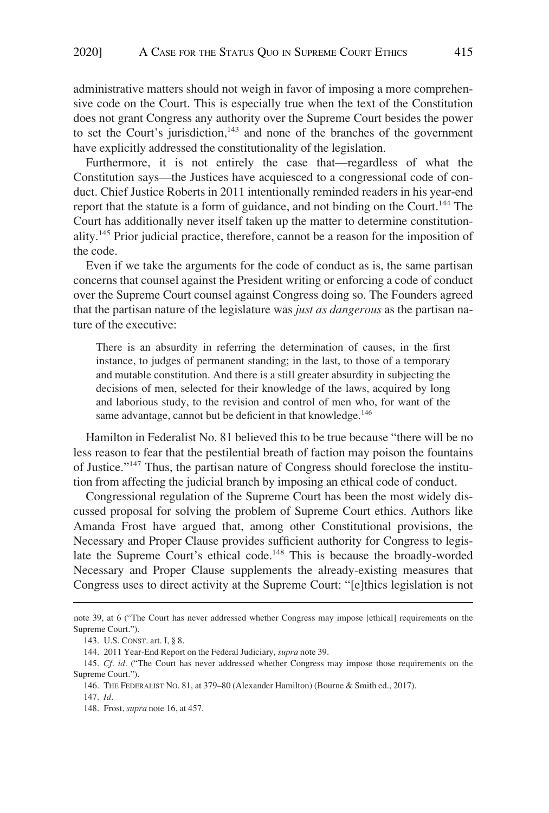administrative matters should not weigh in favor of imposing a more comprehensive code on the Court. This is especially true when the text of the Constitution does not grant Congress any authority over the Supreme Court besides the power to set the Court's jurisdiction, $143$  and none of the branches of the government have explicitly addressed the constitutionality of the legislation.

Furthermore, it is not entirely the case that—regardless of what the Constitution says—the Justices have acquiesced to a congressional code of conduct. Chief Justice Roberts in 2011 intentionally reminded readers in his year-end report that the statute is a form of guidance, and not binding on the Court.<sup>144</sup> The Court has additionally never itself taken up the matter to determine constitutionality.145 Prior judicial practice, therefore, cannot be a reason for the imposition of the code.

Even if we take the arguments for the code of conduct as is, the same partisan concerns that counsel against the President writing or enforcing a code of conduct over the Supreme Court counsel against Congress doing so. The Founders agreed that the partisan nature of the legislature was *just as dangerous* as the partisan nature of the executive:

There is an absurdity in referring the determination of causes, in the first instance, to judges of permanent standing; in the last, to those of a temporary and mutable constitution. And there is a still greater absurdity in subjecting the decisions of men, selected for their knowledge of the laws, acquired by long and laborious study, to the revision and control of men who, for want of the same advantage, cannot but be deficient in that knowledge.<sup>146</sup>

Hamilton in Federalist No. 81 believed this to be true because "there will be no less reason to fear that the pestilential breath of faction may poison the fountains of Justice."147 Thus, the partisan nature of Congress should foreclose the institution from affecting the judicial branch by imposing an ethical code of conduct.

Congressional regulation of the Supreme Court has been the most widely discussed proposal for solving the problem of Supreme Court ethics. Authors like Amanda Frost have argued that, among other Constitutional provisions, the Necessary and Proper Clause provides sufficient authority for Congress to legislate the Supreme Court's ethical code.<sup>148</sup> This is because the broadly-worded Necessary and Proper Clause supplements the already-existing measures that Congress uses to direct activity at the Supreme Court: "[e]thics legislation is not

note 39, at 6 ("The Court has never addressed whether Congress may impose [ethical] requirements on the Supreme Court.").

<sup>143.</sup> U.S. CONST. art. I, § 8.

<sup>144. 2011</sup> Year-End Report on the Federal Judiciary, *supra* note 39.

<sup>145.</sup> *Cf. id*. ("The Court has never addressed whether Congress may impose those requirements on the Supreme Court.").

<sup>146.</sup> THE FEDERALIST NO. 81, at 379–80 (Alexander Hamilton) (Bourne & Smith ed., 2017).

<sup>147.</sup> *Id*.

<sup>148.</sup> Frost, *supra* note 16, at 457.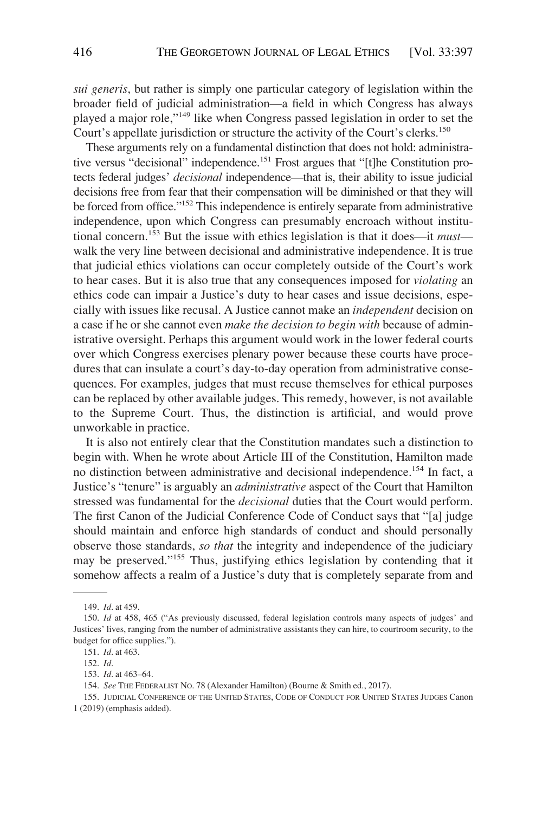*sui generis*, but rather is simply one particular category of legislation within the broader field of judicial administration—a field in which Congress has always played a major role,"149 like when Congress passed legislation in order to set the Court's appellate jurisdiction or structure the activity of the Court's clerks.<sup>150</sup>

These arguments rely on a fundamental distinction that does not hold: administrative versus "decisional" independence.<sup>151</sup> Frost argues that "[t]he Constitution protects federal judges' *decisional* independence—that is, their ability to issue judicial decisions free from fear that their compensation will be diminished or that they will be forced from office."<sup>152</sup> This independence is entirely separate from administrative independence, upon which Congress can presumably encroach without institutional concern.153 But the issue with ethics legislation is that it does—it *must* walk the very line between decisional and administrative independence. It is true that judicial ethics violations can occur completely outside of the Court's work to hear cases. But it is also true that any consequences imposed for *violating* an ethics code can impair a Justice's duty to hear cases and issue decisions, especially with issues like recusal. A Justice cannot make an *independent* decision on a case if he or she cannot even *make the decision to begin with* because of administrative oversight. Perhaps this argument would work in the lower federal courts over which Congress exercises plenary power because these courts have procedures that can insulate a court's day-to-day operation from administrative consequences. For examples, judges that must recuse themselves for ethical purposes can be replaced by other available judges. This remedy, however, is not available to the Supreme Court. Thus, the distinction is artificial, and would prove unworkable in practice.

It is also not entirely clear that the Constitution mandates such a distinction to begin with. When he wrote about Article III of the Constitution, Hamilton made no distinction between administrative and decisional independence.154 In fact, a Justice's "tenure" is arguably an *administrative* aspect of the Court that Hamilton stressed was fundamental for the *decisional* duties that the Court would perform. The first Canon of the Judicial Conference Code of Conduct says that "[a] judge should maintain and enforce high standards of conduct and should personally observe those standards, *so that* the integrity and independence of the judiciary may be preserved."155 Thus, justifying ethics legislation by contending that it somehow affects a realm of a Justice's duty that is completely separate from and

155. JUDICIAL CONFERENCE OF THE UNITED STATES, CODE OF CONDUCT FOR UNITED STATES JUDGES Canon 1 (2019) (emphasis added).

<sup>149.</sup> *Id*. at 459.

<sup>150.</sup> *Id* at 458, 465 ("As previously discussed, federal legislation controls many aspects of judges' and Justices' lives, ranging from the number of administrative assistants they can hire, to courtroom security, to the budget for office supplies.").

<sup>151.</sup> *Id*. at 463.

<sup>152.</sup> *Id*.

<sup>153.</sup> *Id*. at 463–64.

<sup>154.</sup> *See* THE FEDERALIST NO. 78 (Alexander Hamilton) (Bourne & Smith ed., 2017).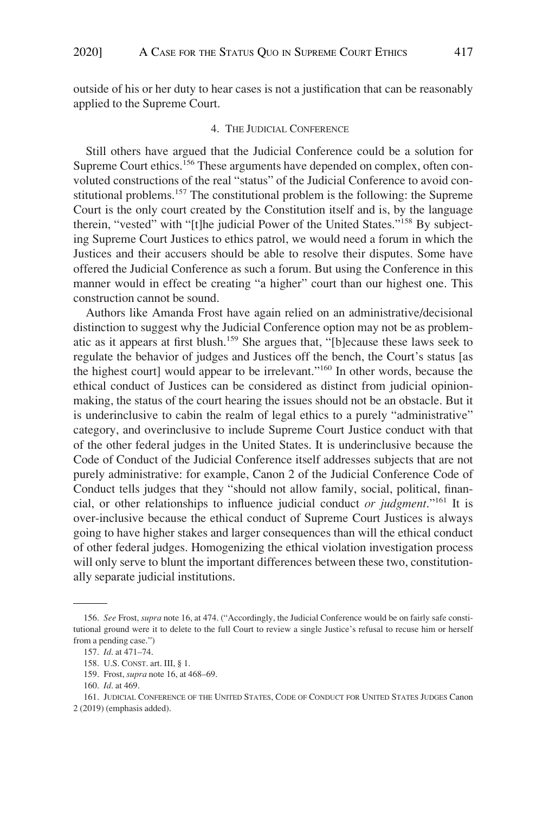outside of his or her duty to hear cases is not a justification that can be reasonably applied to the Supreme Court.

#### 4. THE JUDICIAL CONFERENCE

Still others have argued that the Judicial Conference could be a solution for Supreme Court ethics.<sup>156</sup> These arguments have depended on complex, often convoluted constructions of the real "status" of the Judicial Conference to avoid constitutional problems.<sup>157</sup> The constitutional problem is the following: the Supreme Court is the only court created by the Constitution itself and is, by the language therein, "vested" with "[t]he judicial Power of the United States."158 By subjecting Supreme Court Justices to ethics patrol, we would need a forum in which the Justices and their accusers should be able to resolve their disputes. Some have offered the Judicial Conference as such a forum. But using the Conference in this manner would in effect be creating "a higher" court than our highest one. This construction cannot be sound.

Authors like Amanda Frost have again relied on an administrative/decisional distinction to suggest why the Judicial Conference option may not be as problematic as it appears at first blush.159 She argues that, "[b]ecause these laws seek to regulate the behavior of judges and Justices off the bench, the Court's status [as the highest court] would appear to be irrelevant."160 In other words, because the ethical conduct of Justices can be considered as distinct from judicial opinionmaking, the status of the court hearing the issues should not be an obstacle. But it is underinclusive to cabin the realm of legal ethics to a purely "administrative" category, and overinclusive to include Supreme Court Justice conduct with that of the other federal judges in the United States. It is underinclusive because the Code of Conduct of the Judicial Conference itself addresses subjects that are not purely administrative: for example, Canon 2 of the Judicial Conference Code of Conduct tells judges that they "should not allow family, social, political, financial, or other relationships to influence judicial conduct *or judgment*."161 It is over-inclusive because the ethical conduct of Supreme Court Justices is always going to have higher stakes and larger consequences than will the ethical conduct of other federal judges. Homogenizing the ethical violation investigation process will only serve to blunt the important differences between these two, constitutionally separate judicial institutions.

<sup>156.</sup> *See* Frost, *supra* note 16, at 474. ("Accordingly, the Judicial Conference would be on fairly safe constitutional ground were it to delete to the full Court to review a single Justice's refusal to recuse him or herself from a pending case.")

<sup>157.</sup> *Id*. at 471–74.

<sup>158.</sup> U.S. CONST. art. III, § 1.

<sup>159.</sup> Frost, *supra* note 16, at 468–69.

<sup>160.</sup> *Id*. at 469.

<sup>161.</sup> JUDICIAL CONFERENCE OF THE UNITED STATES, CODE OF CONDUCT FOR UNITED STATES JUDGES Canon 2 (2019) (emphasis added).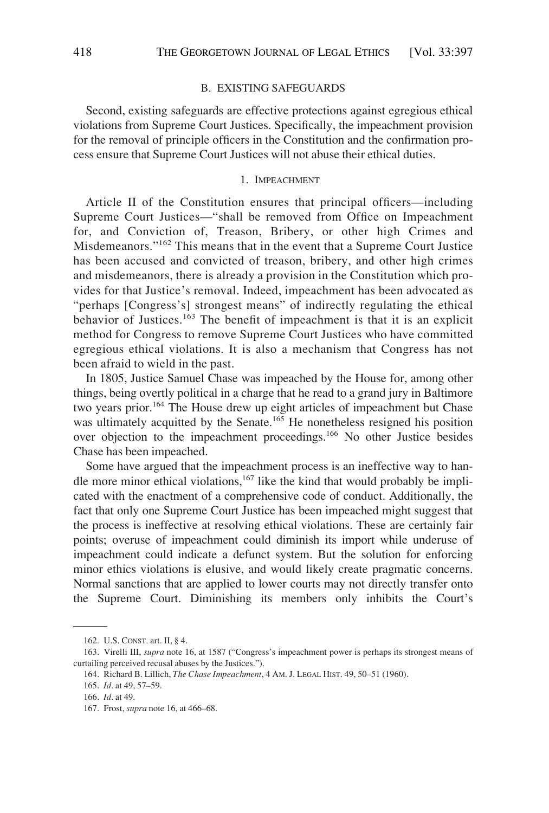#### B. EXISTING SAFEGUARDS

Second, existing safeguards are effective protections against egregious ethical violations from Supreme Court Justices. Specifically, the impeachment provision for the removal of principle officers in the Constitution and the confirmation process ensure that Supreme Court Justices will not abuse their ethical duties.

#### 1. IMPEACHMENT

Article II of the Constitution ensures that principal officers—including Supreme Court Justices—"shall be removed from Office on Impeachment for, and Conviction of, Treason, Bribery, or other high Crimes and Misdemeanors."162 This means that in the event that a Supreme Court Justice has been accused and convicted of treason, bribery, and other high crimes and misdemeanors, there is already a provision in the Constitution which provides for that Justice's removal. Indeed, impeachment has been advocated as "perhaps [Congress's] strongest means" of indirectly regulating the ethical behavior of Justices.<sup>163</sup> The benefit of impeachment is that it is an explicit method for Congress to remove Supreme Court Justices who have committed egregious ethical violations. It is also a mechanism that Congress has not been afraid to wield in the past.

In 1805, Justice Samuel Chase was impeached by the House for, among other things, being overtly political in a charge that he read to a grand jury in Baltimore two years prior.<sup>164</sup> The House drew up eight articles of impeachment but Chase was ultimately acquitted by the Senate.<sup>165</sup> He nonetheless resigned his position over objection to the impeachment proceedings.166 No other Justice besides Chase has been impeached.

Some have argued that the impeachment process is an ineffective way to handle more minor ethical violations, $167$  like the kind that would probably be implicated with the enactment of a comprehensive code of conduct. Additionally, the fact that only one Supreme Court Justice has been impeached might suggest that the process is ineffective at resolving ethical violations. These are certainly fair points; overuse of impeachment could diminish its import while underuse of impeachment could indicate a defunct system. But the solution for enforcing minor ethics violations is elusive, and would likely create pragmatic concerns. Normal sanctions that are applied to lower courts may not directly transfer onto the Supreme Court. Diminishing its members only inhibits the Court's

<sup>162.</sup> U.S. CONST. art. II, § 4.

<sup>163.</sup> Virelli III, *supra* note 16, at 1587 ("Congress's impeachment power is perhaps its strongest means of curtailing perceived recusal abuses by the Justices.").

<sup>164.</sup> Richard B. Lillich, *The Chase Impeachment*, 4 AM. J. LEGAL HIST. 49, 50–51 (1960).

<sup>165.</sup> *Id*. at 49, 57–59.

<sup>166.</sup> *Id*. at 49.

<sup>167.</sup> Frost, *supra* note 16, at 466–68.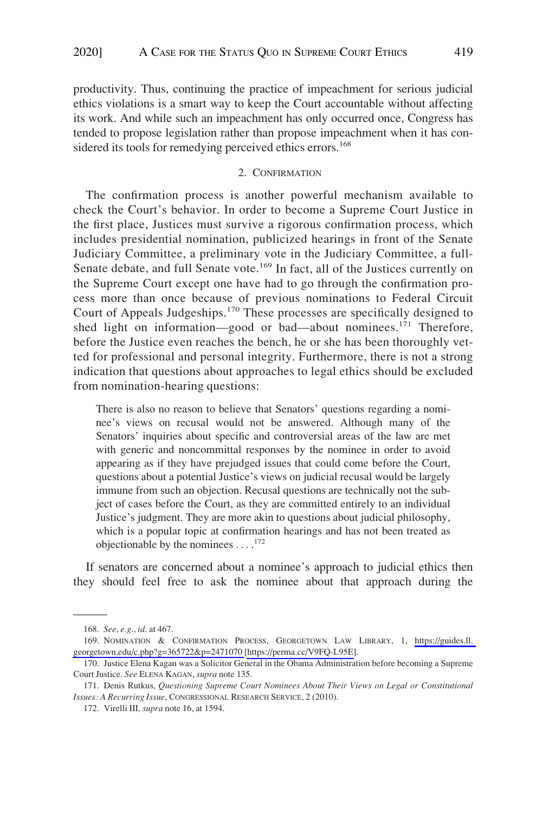productivity. Thus, continuing the practice of impeachment for serious judicial ethics violations is a smart way to keep the Court accountable without affecting its work. And while such an impeachment has only occurred once, Congress has tended to propose legislation rather than propose impeachment when it has considered its tools for remedying perceived ethics errors.<sup>168</sup>

#### 2. CONFIRMATION

The confirmation process is another powerful mechanism available to check the Court's behavior. In order to become a Supreme Court Justice in the first place, Justices must survive a rigorous confirmation process, which includes presidential nomination, publicized hearings in front of the Senate Judiciary Committee, a preliminary vote in the Judiciary Committee, a full-Senate debate, and full Senate vote.<sup>169</sup> In fact, all of the Justices currently on the Supreme Court except one have had to go through the confirmation process more than once because of previous nominations to Federal Circuit Court of Appeals Judgeships.170 These processes are specifically designed to shed light on information—good or bad—about nominees.<sup>171</sup> Therefore, before the Justice even reaches the bench, he or she has been thoroughly vetted for professional and personal integrity. Furthermore, there is not a strong indication that questions about approaches to legal ethics should be excluded from nomination-hearing questions:

There is also no reason to believe that Senators' questions regarding a nominee's views on recusal would not be answered. Although many of the Senators' inquiries about specific and controversial areas of the law are met with generic and noncommittal responses by the nominee in order to avoid appearing as if they have prejudged issues that could come before the Court, questions about a potential Justice's views on judicial recusal would be largely immune from such an objection. Recusal questions are technically not the subject of cases before the Court, as they are committed entirely to an individual Justice's judgment. They are more akin to questions about judicial philosophy, which is a popular topic at confirmation hearings and has not been treated as objectionable by the nominees  $\dots$ <sup>172</sup>

If senators are concerned about a nominee's approach to judicial ethics then they should feel free to ask the nominee about that approach during the

<sup>168.</sup> *See, e.g*., *id*. at 467.

<sup>169.</sup> NOMINATION & CONFIRMATION PROCESS, GEORGETOWN LAW LIBRARY, 1, https://guides.ll. [georgetown.edu/c.php?g=365722&p=2471070](https://guides.ll.georgetown.edu/c.php?g=365722&p=2471070) [\[https://perma.cc/V9FQ-L95E\]](https://perma.cc/V9FQ-L95E).

<sup>170.</sup> Justice Elena Kagan was a Solicitor General in the Obama Administration before becoming a Supreme Court Justice. *See* ELENA KAGAN, *supra* note 135.

<sup>171.</sup> Denis Rutkus, *Questioning Supreme Court Nominees About Their Views on Legal or Constitutional Issues: A Recurring Issue*, CONGRESSIONAL RESEARCH SERVICE, 2 (2010).

<sup>172.</sup> Virelli III, *supra* note 16, at 1594.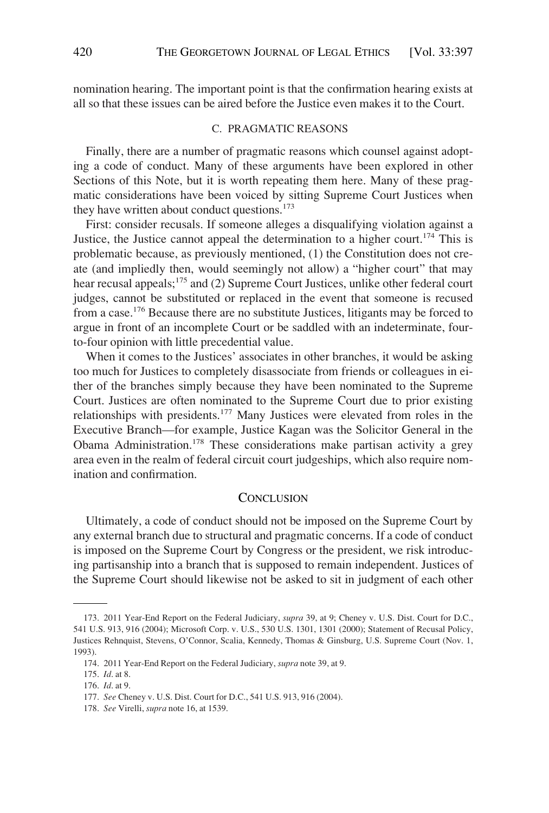nomination hearing. The important point is that the confirmation hearing exists at all so that these issues can be aired before the Justice even makes it to the Court.

# C. PRAGMATIC REASONS

Finally, there are a number of pragmatic reasons which counsel against adopting a code of conduct. Many of these arguments have been explored in other Sections of this Note, but it is worth repeating them here. Many of these pragmatic considerations have been voiced by sitting Supreme Court Justices when they have written about conduct questions.<sup>173</sup>

First: consider recusals. If someone alleges a disqualifying violation against a Justice, the Justice cannot appeal the determination to a higher court.<sup>174</sup> This is problematic because, as previously mentioned, (1) the Constitution does not create (and impliedly then, would seemingly not allow) a "higher court" that may hear recusal appeals;<sup>175</sup> and (2) Supreme Court Justices, unlike other federal court judges, cannot be substituted or replaced in the event that someone is recused from a case.176 Because there are no substitute Justices, litigants may be forced to argue in front of an incomplete Court or be saddled with an indeterminate, fourto-four opinion with little precedential value.

When it comes to the Justices' associates in other branches, it would be asking too much for Justices to completely disassociate from friends or colleagues in either of the branches simply because they have been nominated to the Supreme Court. Justices are often nominated to the Supreme Court due to prior existing relationships with presidents.177 Many Justices were elevated from roles in the Executive Branch—for example, Justice Kagan was the Solicitor General in the Obama Administration.178 These considerations make partisan activity a grey area even in the realm of federal circuit court judgeships, which also require nomination and confirmation.

### **CONCLUSION**

Ultimately, a code of conduct should not be imposed on the Supreme Court by any external branch due to structural and pragmatic concerns. If a code of conduct is imposed on the Supreme Court by Congress or the president, we risk introducing partisanship into a branch that is supposed to remain independent. Justices of the Supreme Court should likewise not be asked to sit in judgment of each other

<sup>173. 2011</sup> Year-End Report on the Federal Judiciary, *supra* 39, at 9; Cheney v. U.S. Dist. Court for D.C., 541 U.S. 913, 916 (2004); Microsoft Corp. v. U.S., 530 U.S. 1301, 1301 (2000); Statement of Recusal Policy, Justices Rehnquist, Stevens, O'Connor, Scalia, Kennedy, Thomas & Ginsburg, U.S. Supreme Court (Nov. 1, 1993).

<sup>174. 2011</sup> Year-End Report on the Federal Judiciary, *supra* note 39, at 9.

<sup>175.</sup> *Id*. at 8.

<sup>176.</sup> *Id*. at 9.

<sup>177.</sup> *See* Cheney v. U.S. Dist. Court for D.C., 541 U.S. 913, 916 (2004).

<sup>178.</sup> *See* Virelli, *supra* note 16, at 1539.